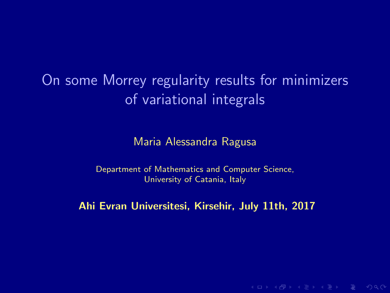# On some Morrey regularity results for minimizers of variational integrals

Maria Alessandra Ragusa

Department of Mathematics and Computer Science, University of Catania, Italy

Ahi Evran Universitesi, Kirsehir, July 11th, 2017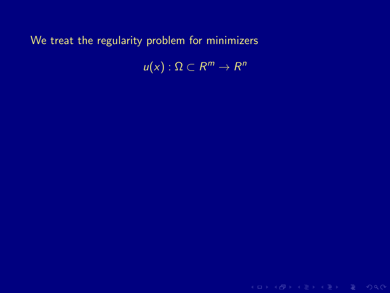$u(x): \Omega \subset R^m \to R^n$ 

K ロ → K @ → K 로 → K 로 → E → K Q Q Q →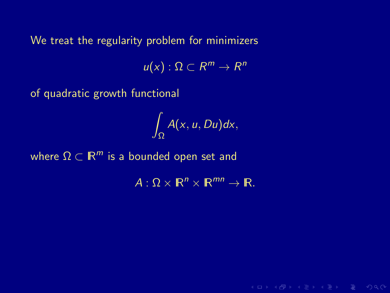$u(x): \Omega \subset R^m \to R^n$ 

of quadratic growth functional

$$
\int_{\Omega} A(x, u, Du) dx,
$$

where  $\Omega \subset \mathbb{R}^m$  is a bounded open set and

 $A: \Omega \times \mathbb{R}^n \times \mathbb{R}^{mn} \to \mathbb{R}$ .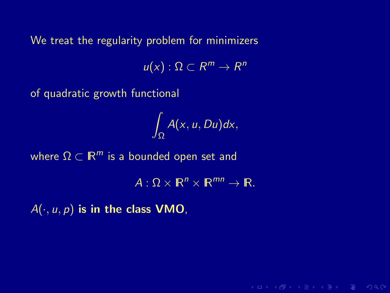$u(x): \Omega \subset R^m \to R^n$ 

of quadratic growth functional

$$
\int_{\Omega} A(x, u, Du) dx,
$$

where  $\Omega \subset \mathbb{R}^m$  is a bounded open set and

 $A: \Omega \times \mathbb{R}^n \times \mathbb{R}^{mn} \to \mathbb{R}$ .

**KORKAR KERKER E MAG** 

 $A(\cdot, u, p)$  is in the class VMO,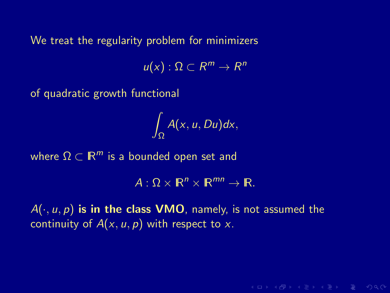$u(x): \Omega \subset R^m \to R^n$ 

of quadratic growth functional

$$
\int_{\Omega} A(x, u, Du) dx,
$$

where  $\Omega \subset \mathbb{R}^m$  is a bounded open set and

 $A: \Omega \times \mathbb{R}^n \times \mathbb{R}^{mn} \to \mathbb{R}$ .

**KORKAR KERKER E MAG** 

 $A(\cdot, u, p)$  is in the class VMO, namely, is not assumed the continuity of  $A(x, u, p)$  with respect to x.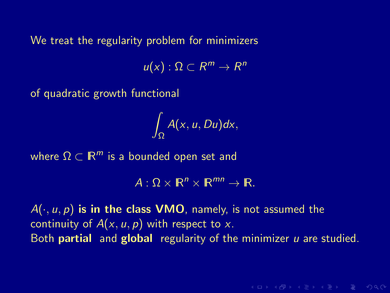$u(x): \Omega \subset R^m \to R^n$ 

of quadratic growth functional

$$
\int_{\Omega} A(x, u, Du) dx,
$$

where  $\Omega \subset \mathbb{R}^m$  is a bounded open set and

 $A: \Omega \times \mathbb{R}^n \times \mathbb{R}^{mn} \to \mathbb{R}$ .

 $A(\cdot, u, p)$  is in the class VMO, namely, is not assumed the continuity of  $A(x, u, p)$  with respect to x. Both **partial** and **global** regularity of the minimizer  $\mu$  are studied.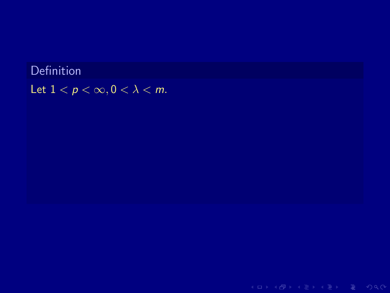**Definition** Let  $1 < p < \infty, 0 < \lambda < m$ .

K ロ > K 레 > K 로 > K 로 > - 로 - K 9 Q Q +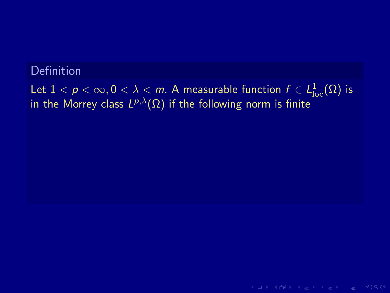## Definition

Let  $1 < p < \infty, 0 < \lambda < m.$  A measurable function  $f \in L^1_{\mathrm{loc}}(\Omega)$  is in the Morrey class  $L^{p,\lambda}(\Omega)$  if the following norm is finite

 $A \cup B \cup A \cup B \cup A \subseteq B \cup A \subseteq B \cup B \cup B \cup B \cup A$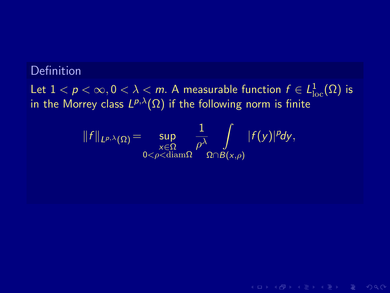## Definition

Let  $1 < p < \infty, 0 < \lambda < m.$  A measurable function  $f \in L^1_{\mathrm{loc}}(\Omega)$  is in the Morrey class  $L^{p,\lambda}(\Omega)$  if the following norm is finite

$$
||f||_{L^{p,\lambda}(\Omega)}=\sup_{\substack{x\in\Omega\\0<\rho<\operatorname{diam}\Omega}}\frac{1}{\rho^{\lambda}}\int\limits_{\Omega\cap B(x,\rho)}|f(y)|^p dy,
$$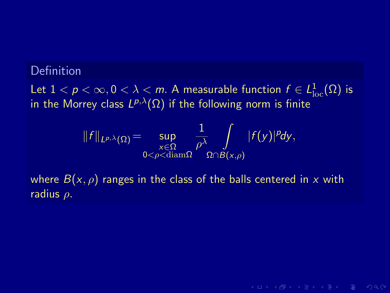## **Definition**

Let  $1 < p < \infty, 0 < \lambda < m.$  A measurable function  $f \in L^1_{\mathrm{loc}}(\Omega)$  is in the Morrey class  $L^{p,\lambda}(\Omega)$  if the following norm is finite

$$
||f||_{L^{p,\lambda}(\Omega)}=\sup_{\substack{x\in\Omega\\0<\rho<\operatorname{diam}\Omega}}\frac{1}{\rho^\lambda}\int\limits_{\Omega\cap B(x,\rho)}|f(y)|^p dy,
$$

where  $B(x, \rho)$  ranges in the class of the balls centered in x with radius  $\rho$ .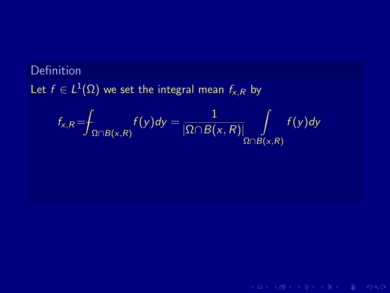# Definition Let  $f\in L^1(\Omega)$  we set the integral mean  $f_{\varkappa,R}$  by

$$
f_{x,R} = \int_{\Omega \cap B(x,R)} f(y) dy = \frac{1}{|\Omega \cap B(x,R)|} \int_{\Omega \cap B(x,R)} f(y) dy
$$

K ロ > K 레 > K 로 > K 로 > - 로 - K 9 Q Q +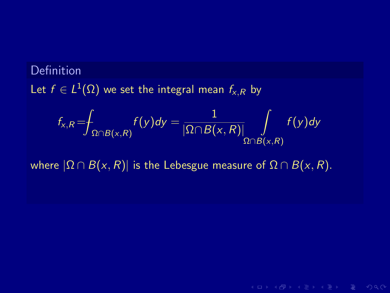# Definition Let  $f\in L^1(\Omega)$  we set the integral mean  $f_{\varkappa,R}$  by

$$
f_{x,R} = \int_{\Omega \cap B(x,R)} f(y) dy = \frac{1}{|\Omega \cap B(x,R)|} \int_{\Omega \cap B(x,R)} f(y) dy
$$

**KORKAR KERKER E MAG** 

where  $|\Omega \cap B(x, R)|$  is the Lebesgue measure of  $\Omega \cap B(x, R)$ .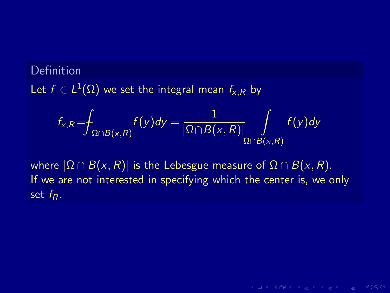# Definition Let  $f\in L^1(\Omega)$  we set the integral mean  $f_{\varkappa,R}$  by

$$
f_{x,R} = \int_{\Omega \cap B(x,R)} f(y) dy = \frac{1}{|\Omega \cap B(x,R)|} \int_{\Omega \cap B(x,R)} f(y) dy
$$

where  $|\Omega \cap B(x,R)|$  is the Lebesgue measure of  $\Omega \cap B(x,R)$ . If we are not interested in specifying which the center is, we only set  $f_R$ .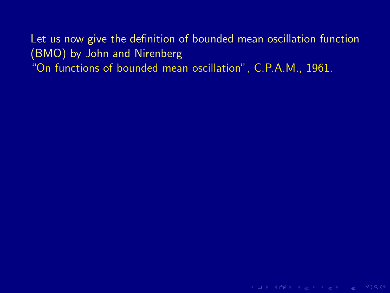K ロ > K 레 > K 로 > K 로 > 트로 → 9 Q Q +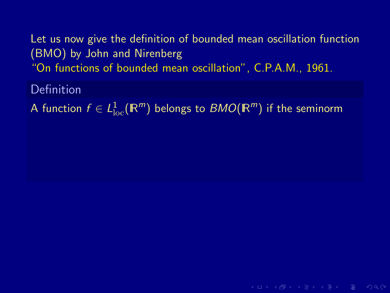Definition

A function  $f\in L^1_{\rm loc}({\mathbb R}^m)$  belongs to  $BMO({\mathbb R}^m)$  if the seminorm

 $A \cup B \cup A \cup B \cup A \subseteq B \cup A \subseteq B \cup B \cup B \cup B \cup A$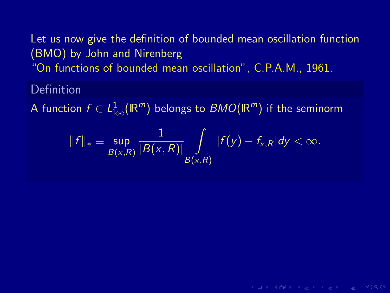## Definition

A function  $f\in L^1_{\rm loc}({\mathbb R}^m)$  belongs to  $BMO({\mathbb R}^m)$  if the seminorm

$$
||f||_* \equiv \sup_{B(x,R)} \frac{1}{|B(x,R)|} \int\limits_{B(x,R)} |f(y) - f_{x,R}| dy < \infty.
$$

 $A \cup B \cup A \cup B \cup A \subseteq B \cup A \subseteq B \cup B \cup B \cup B \cup A$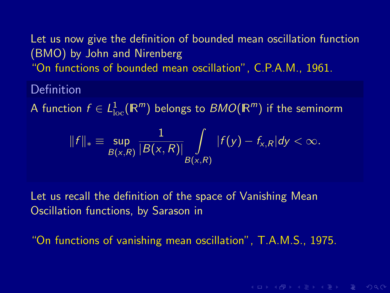## Definition

A function  $f\in L^1_{\rm loc}({\mathbb R}^m)$  belongs to  $BMO({\mathbb R}^m)$  if the seminorm

$$
||f||_* \equiv \sup_{B(x,R)} \frac{1}{|B(x,R)|} \int\limits_{B(x,R)} |f(y) - f_{x,R}| dy < \infty.
$$

Let us recall the definition of the space of Vanishing Mean Oscillation functions, by Sarason in

"On functions of vanishing mean oscillation", T.A.M.S., 1975.

**KORKAR KERKER E VAN**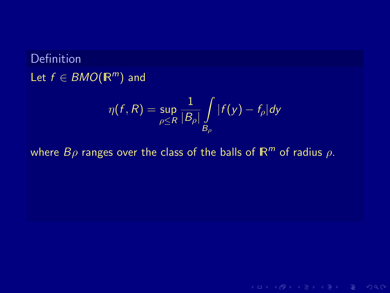# **Definition** Let  $f \in BMO(\mathbb{R}^m)$  and

$$
\eta(f,R) = \sup_{\rho \le R} \frac{1}{|B_\rho|} \int\limits_{B_\rho} |f(y) - f_\rho| dy
$$

K ロ → K 個 → K 星 → K 星 → 三星 → の Q Q →

where  $B\rho$  ranges over the class of the balls of  $\mathbb{R}^m$  of radius  $\rho$ .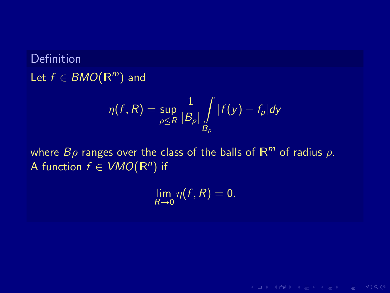## Definition Let  $f \in BMO(\mathbb{R}^m)$  and

$$
\eta(f,R) = \sup_{\rho \le R} \frac{1}{|B_\rho|} \int\limits_{B_\rho} |f(y) - f_\rho| dy
$$

where  $B\rho$  ranges over the class of the balls of  $\mathbb{R}^m$  of radius  $\rho$ . A function  $f \in VMO(\mathbb{R}^n)$  if

 $\lim_{R\to 0} \eta(f,R) = 0.$ 

 $A \cup B \cup A \cup B \cup A \subseteq B \cup A \subseteq B \cup B \cup B \cup B \cup A$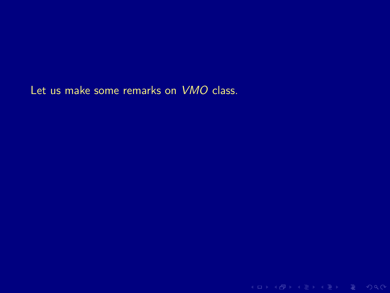Let us make some remarks on VMO class.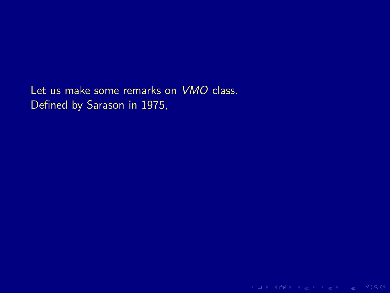Let us make some remarks on VMO class. Defined by Sarason in 1975,

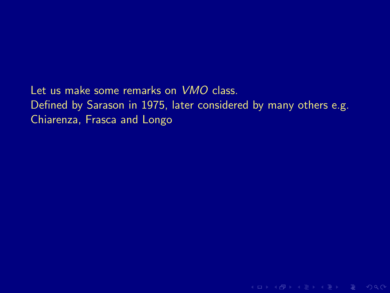Let us make some remarks on VMO class. Defined by Sarason in 1975, later considered by many others e.g. Chiarenza, Frasca and Longo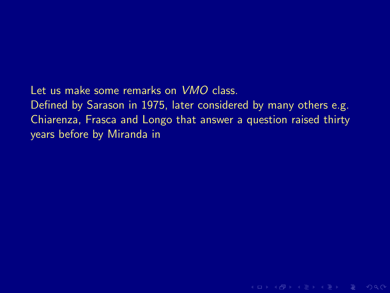Let us make some remarks on VMO class. Defined by Sarason in 1975, later considered by many others e.g. Chiarenza, Frasca and Longo that answer a question raised thirty years before by Miranda in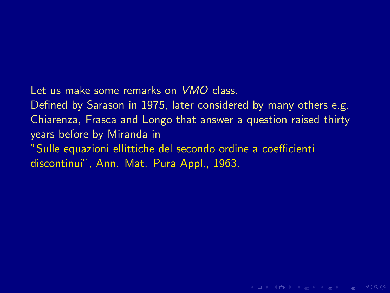Let us make some remarks on VMO class.

Defined by Sarason in 1975, later considered by many others e.g. Chiarenza, Frasca and Longo that answer a question raised thirty years before by Miranda in

"Sulle equazioni ellittiche del secondo ordine a coefficienti discontinui", Ann. Mat. Pura Appl., 1963.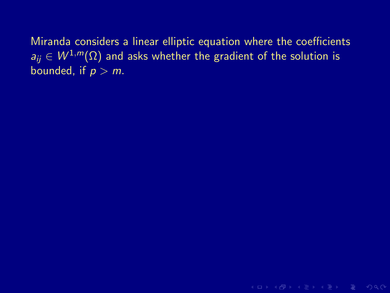Miranda considers a linear elliptic equation where the coefficients  $a_{ii} \in W^{1,m}(\Omega)$  and asks whether the gradient of the solution is bounded, if  $p > m$ .

K ロ → K @ → K 로 → K 로 → E → K Q Q Q →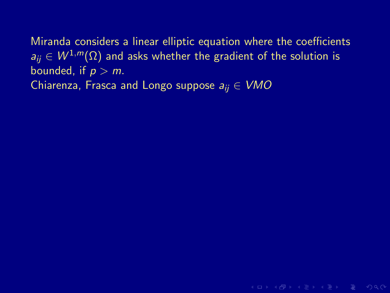Miranda considers a linear elliptic equation where the coefficients  $a_{ii} \in W^{1,m}(\Omega)$  and asks whether the gradient of the solution is bounded, if  $p \geq m$ . Chiarenza, Frasca and Longo suppose  $a_{ii} \in VMO$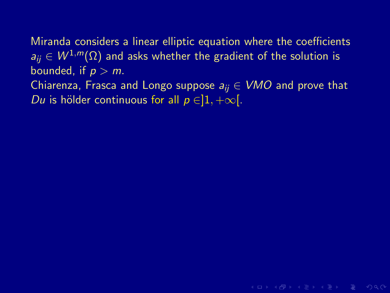Miranda considers a linear elliptic equation where the coefficients  $a_{ii} \in W^{1,m}(\Omega)$  and asks whether the gradient of the solution is bounded, if  $p > m$ .

Chiarenza, Frasca and Longo suppose  $a_{ij} \in VMO$  and prove that Du is hölder continuous for all  $p \in ]1, +\infty[$ .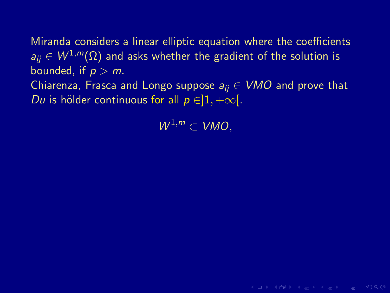Miranda considers a linear elliptic equation where the coefficients  $a_{ii} \in W^{1,m}(\Omega)$  and asks whether the gradient of the solution is bounded, if  $p > m$ .

Chiarenza, Frasca and Longo suppose  $a_{ij} \in VMO$  and prove that Du is hölder continuous for all  $p \in ]1, +\infty[$ .

 $W^{1,m} \subset VMO$ .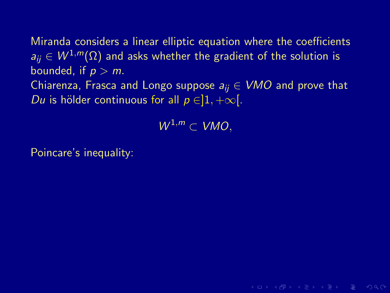Miranda considers a linear elliptic equation where the coefficients  $a_{ii} \in W^{1,m}(\Omega)$  and asks whether the gradient of the solution is bounded, if  $p > m$ . Chiarenza, Frasca and Longo suppose  $a_{ii} \in VMO$  and prove that Du is hölder continuous for all  $p \in ]1, +\infty[$ .

 $W^{1,m} \subset VMO$ .

Poincare's inequality: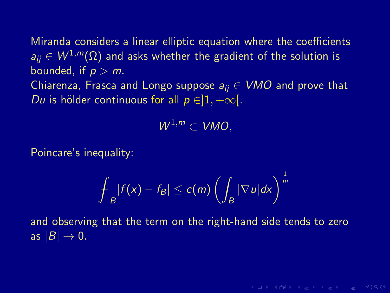Miranda considers a linear elliptic equation where the coefficients  $a_{ii} \in W^{1,m}(\Omega)$  and asks whether the gradient of the solution is bounded, if  $p > m$ . Chiarenza, Frasca and Longo suppose  $a_{ii} \in VMO$  and prove that Du is hölder continuous for all  $p \in ]1, +\infty[$ .

 $W^{1,m} \subset VMO$ .

Poincare's inequality:

$$
\int_B |f(x)-f_B|\leq c(m)\left(\int_B |\nabla u|dx\right)^{\frac{1}{m}}
$$

and observing that the term on the right-hand side tends to zero as  $|B| \to 0$ .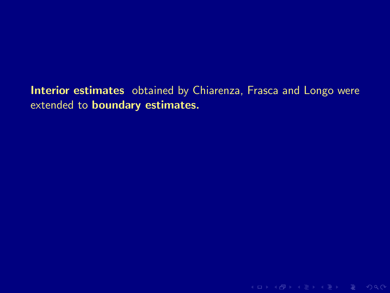Interior estimates obtained by Chiarenza, Frasca and Longo were extended to boundary estimates.

K ロ > K @ > K 로 > K 로 > E = Y Q Q O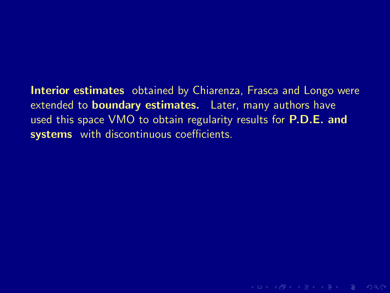Interior estimates obtained by Chiarenza, Frasca and Longo were extended to **boundary estimates.** Later, many authors have used this space VMO to obtain regularity results for **P.D.E. and** systems with discontinuous coefficients.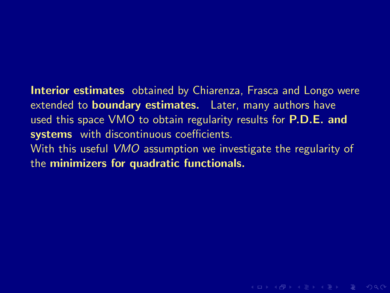Interior estimates obtained by Chiarenza, Frasca and Longo were extended to **boundary estimates.** Later, many authors have used this space VMO to obtain regularity results for **P.D.E. and** systems with discontinuous coefficients. With this useful VMO assumption we investigate the regularity of the minimizers for quadratic functionals.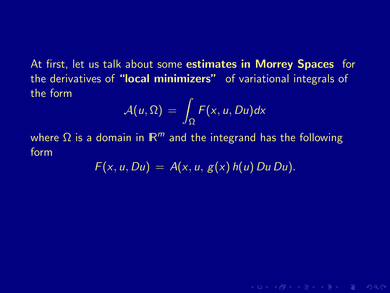At first, let us talk about some **estimates in Morrey Spaces** for the derivatives of "local minimizers" of variational integrals of the form

$$
\mathcal{A}(u,\Omega) = \int_{\Omega} F(x,u,Du) dx
$$

where  $\Omega$  is a domain in  $\mathbb{R}^m$  and the integrand has the following form

$$
F(x, u, Du) = A(x, u, g(x) h(u) Du Du).
$$

**KO KARA KE KE KE KARA**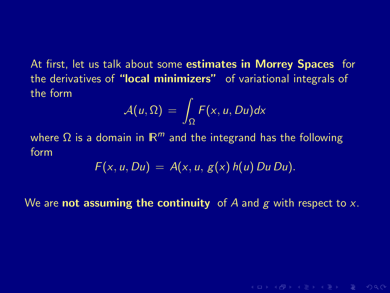At first, let us talk about some **estimates in Morrey Spaces** for the derivatives of "local minimizers" of variational integrals of the form

$$
\mathcal{A}(u,\Omega) = \int_{\Omega} F(x,u,Du) dx
$$

where  $\Omega$  is a domain in  $\mathbb{R}^m$  and the integrand has the following form

$$
F(x, u, Du) = A(x, u, g(x) h(u) Du Du).
$$

We are **not assuming the continuity** of A and g with respect to x.

 $A \cup B \cup A \cup B \cup A \subseteq B \cup A \subseteq B \cup B \cup B \cup B \cup A$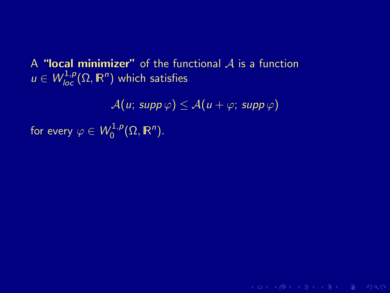A "local minimizer" of the functional  $\overline{A}$  is a function  $u \in W^{1,p}_{loc}(\Omega,\mathbb{R}^n)$  which satisfies

 $A(u; \operatorname{supp} \varphi) \leq A(u + \varphi; \operatorname{supp} \varphi)$ 

K ロ > K 레 > K 로 > K 로 > 트로 → 9 Q Q +

for every  $\varphi\in\mathcal{W}_{0}^{1,p}$  $\eta_0^{1,p}(\Omega,\mathbb{R}^n)$ .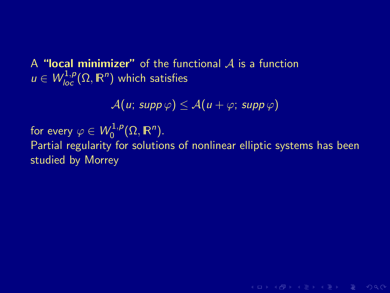A "local minimizer" of the functional  $\overline{A}$  is a function  $u \in W^{1,p}_{loc}(\Omega,\mathbb{R}^n)$  which satisfies

 $A(u; supp \varphi) \leq A(u + \varphi; supp \varphi)$ 

for every  $\varphi\in\mathcal{W}_{0}^{1,p}$  $\eta_0^{1,p}(\Omega,\mathbb{R}^n)$ .

Partial regularity for solutions of nonlinear elliptic systems has been studied by Morrey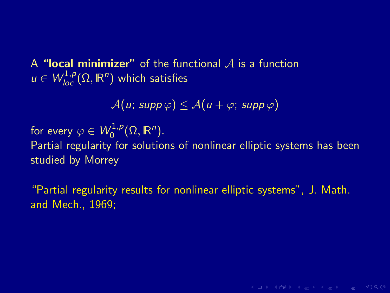A "local minimizer" of the functional  $\overline{A}$  is a function  $u \in W^{1,p}_{loc}(\Omega,\mathbb{R}^n)$  which satisfies

 $\mathcal{A}(u; \operatorname{supp} \varphi) \leq \mathcal{A}(u + \varphi; \operatorname{supp} \varphi)$ 

for every  $\varphi\in\mathcal{W}_{0}^{1,p}$  $\eta_0^{1,p}(\Omega,\mathbb{R}^n)$ .

Partial regularity for solutions of nonlinear elliptic systems has been studied by Morrey

"Partial regularity results for nonlinear elliptic systems", J. Math. and Mech., 1969;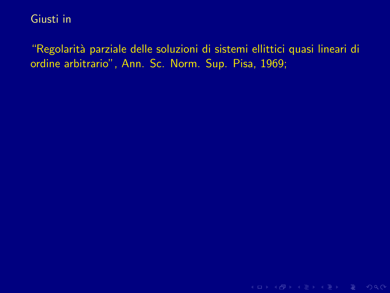"Regolarità parziale delle soluzioni di sistemi ellittici quasi lineari di ordine arbitrario", Ann. Sc. Norm. Sup. Pisa, 1969;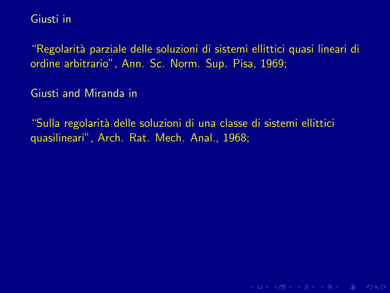"Regolarit`a parziale delle soluzioni di sistemi ellittici quasi lineari di ordine arbitrario", Ann. Sc. Norm. Sup. Pisa, 1969;

Giusti and Miranda in

"Sulla regolarità delle soluzioni di una classe di sistemi ellittici quasilineari", Arch. Rat. Mech. Anal., 1968;

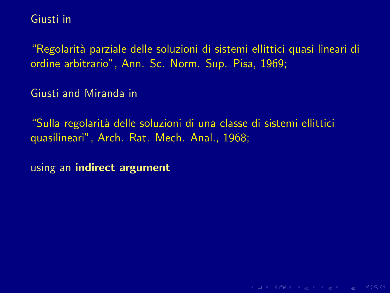"Regolarit`a parziale delle soluzioni di sistemi ellittici quasi lineari di ordine arbitrario", Ann. Sc. Norm. Sup. Pisa, 1969;

Giusti and Miranda in

"Sulla regolarità delle soluzioni di una classe di sistemi ellittici quasilineari", Arch. Rat. Mech. Anal., 1968;

using an indirect argument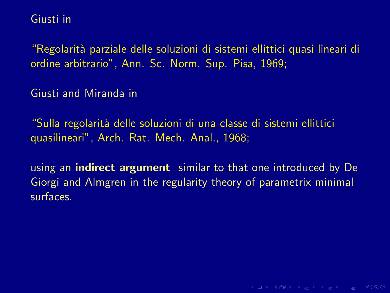"Regolarit`a parziale delle soluzioni di sistemi ellittici quasi lineari di ordine arbitrario", Ann. Sc. Norm. Sup. Pisa, 1969;

Giusti and Miranda in

"Sulla regolarità delle soluzioni di una classe di sistemi ellittici quasilineari", Arch. Rat. Mech. Anal., 1968;

using an **indirect argument** similar to that one introduced by De Giorgi and Almgren in the regularity theory of parametrix minimal surfaces.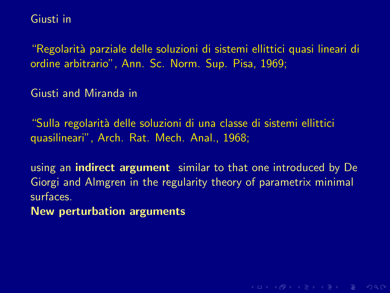"Regolarit`a parziale delle soluzioni di sistemi ellittici quasi lineari di ordine arbitrario", Ann. Sc. Norm. Sup. Pisa, 1969;

Giusti and Miranda in

"Sulla regolarità delle soluzioni di una classe di sistemi ellittici quasilineari", Arch. Rat. Mech. Anal., 1968;

using an **indirect argument** similar to that one introduced by De Giorgi and Almgren in the regularity theory of parametrix minimal surfaces.

**KORKAR KERKER E MAG** 

New perturbation arguments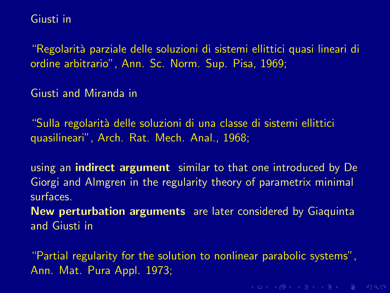"Regolarit`a parziale delle soluzioni di sistemi ellittici quasi lineari di ordine arbitrario", Ann. Sc. Norm. Sup. Pisa, 1969;

Giusti and Miranda in

"Sulla regolarità delle soluzioni di una classe di sistemi ellittici quasilineari", Arch. Rat. Mech. Anal., 1968;

using an **indirect argument** similar to that one introduced by De Giorgi and Almgren in the regularity theory of parametrix minimal surfaces.

New perturbation arguments are later considered by Giaquinta and Giusti in

"Partial regularity for the solution to nonlinear parabolic systems", Ann. Mat. Pura Appl. 1973;

K ロ → K @ → K 로 → K 로 → E → K Q Q Q →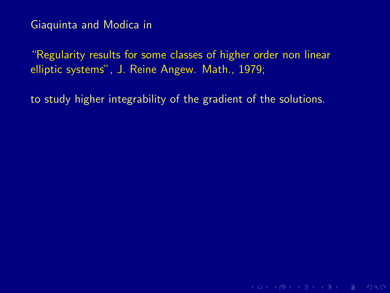"Regularity results for some classes of higher order non linear elliptic systems", J. Reine Angew. Math., 1979;

to study higher integrability of the gradient of the solutions.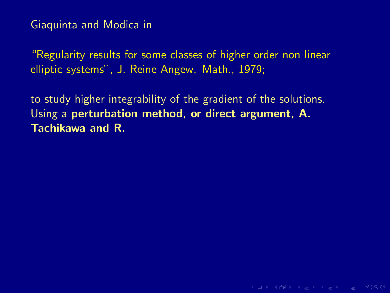"Regularity results for some classes of higher order non linear elliptic systems", J. Reine Angew. Math., 1979;

to study higher integrability of the gradient of the solutions. Using a perturbation method, or direct argument, A. Tachikawa and R.

**KORKAR KERKER E VOQO**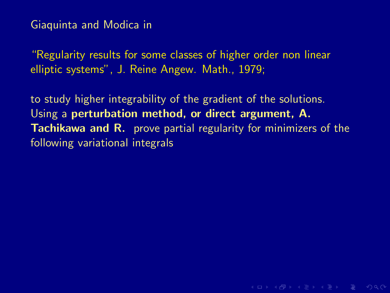"Regularity results for some classes of higher order non linear elliptic systems", J. Reine Angew. Math., 1979;

to study higher integrability of the gradient of the solutions. Using a perturbation method, or direct argument, A. **Tachikawa and R.** prove partial regularity for minimizers of the following variational integrals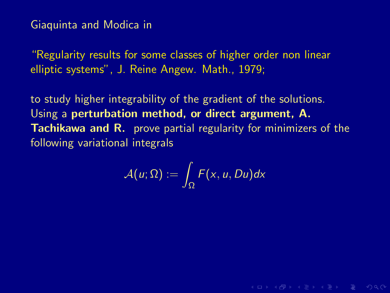"Regularity results for some classes of higher order non linear elliptic systems", J. Reine Angew. Math., 1979;

to study higher integrability of the gradient of the solutions. Using a perturbation method, or direct argument, A. Tachikawa and R. prove partial regularity for minimizers of the following variational integrals

$$
\mathcal{A}(u;\Omega):=\int_{\Omega}F(x,u,Du)dx
$$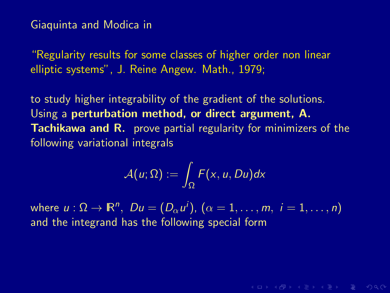"Regularity results for some classes of higher order non linear elliptic systems", J. Reine Angew. Math., 1979;

to study higher integrability of the gradient of the solutions. Using a perturbation method, or direct argument, A. Tachikawa and R. prove partial regularity for minimizers of the following variational integrals

$$
\mathcal{A}(u;\Omega):=\int_\Omega F(x,u,Du)dx
$$

**KORKAR KERKER E MAG** 

where  $u:\Omega\to\mathbb{R}^n,\,\,Du=(D_\alpha u^i),\,(\alpha=1,\ldots,m,\,\,i=1,\ldots,n)$ and the integrand has the following special form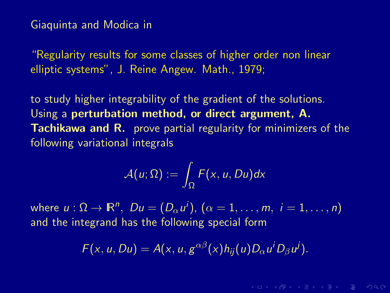"Regularity results for some classes of higher order non linear elliptic systems", J. Reine Angew. Math., 1979;

to study higher integrability of the gradient of the solutions. Using a perturbation method, or direct argument, A. Tachikawa and R. prove partial regularity for minimizers of the following variational integrals

$$
\mathcal{A}(u;\Omega):=\int_\Omega F(x,u,Du)dx
$$

where  $u:\Omega\to\mathbb{R}^n,\,\,Du=(D_\alpha u^i),\,(\alpha=1,\ldots,m,\,\,i=1,\ldots,n)$ and the integrand has the following special form

$$
F(x, u, Du) = A(x, u, g^{\alpha\beta}(x)h_{ij}(u)D_{\alpha}u^{i}D_{\beta}u^{j}).
$$

**KORKAR KERKER E VAN**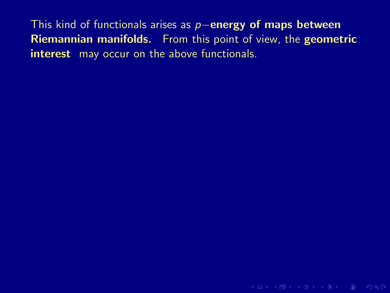This kind of functionals arises as p−energy of maps between Riemannian manifolds. From this point of view, the geometric interest may occur on the above functionals.

K ロ > K 레 > K 로 > K 로 > 다로 > O Q @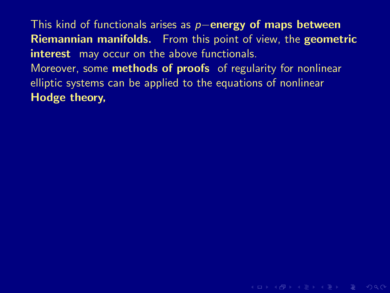This kind of functionals arises as p−energy of maps between Riemannian manifolds. From this point of view, the geometric interest may occur on the above functionals. Moreover, some **methods of proofs** of regularity for nonlinear elliptic systems can be applied to the equations of nonlinear Hodge theory,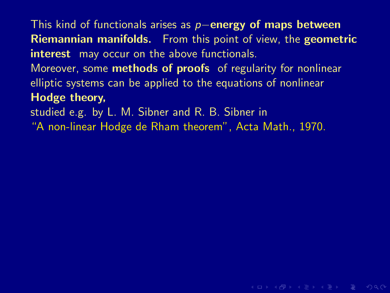This kind of functionals arises as  $p$ −energy of maps between Riemannian manifolds. From this point of view, the geometric interest may occur on the above functionals.

Moreover, some **methods of proofs** of regularity for nonlinear elliptic systems can be applied to the equations of nonlinear Hodge theory,

studied e.g. by L. M. Sibner and R. B. Sibner in

"A non-linear Hodge de Rham theorem", Acta Math., 1970.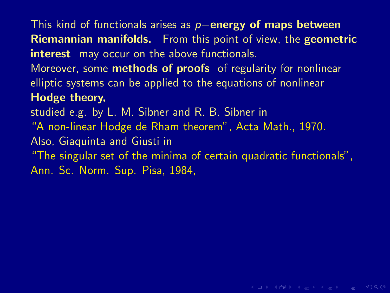This kind of functionals arises as  $p-$ energy of maps between Riemannian manifolds. From this point of view, the geometric interest may occur on the above functionals.

Moreover, some **methods of proofs** of regularity for nonlinear elliptic systems can be applied to the equations of nonlinear Hodge theory,

studied e.g. by L. M. Sibner and R. B. Sibner in

"A non-linear Hodge de Rham theorem", Acta Math., 1970.

Also, Giaquinta and Giusti in

"The singular set of the minima of certain quadratic functionals", Ann. Sc. Norm. Sup. Pisa, 1984,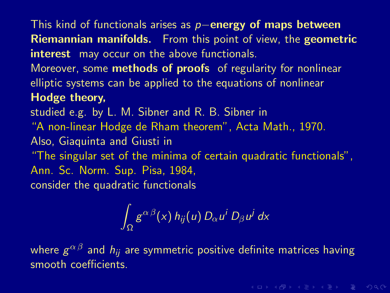This kind of functionals arises as  $p-$ energy of maps between Riemannian manifolds. From this point of view, the geometric interest may occur on the above functionals.

Moreover, some **methods of proofs** of regularity for nonlinear elliptic systems can be applied to the equations of nonlinear Hodge theory,

studied e.g. by L. M. Sibner and R. B. Sibner in

"A non-linear Hodge de Rham theorem", Acta Math., 1970.

Also, Giaquinta and Giusti in

"The singular set of the minima of certain quadratic functionals", Ann. Sc. Norm. Sup. Pisa, 1984, consider the quadratic functionals

> Z Ω  $g^{\alpha\,\beta}(x)$  h $_{ij}(u)$   $D_{\alpha}\,u^i$   $D_{\beta}\,u^j$  dx

where  $g^{\alpha\,\beta}$  and  $h_{ij}$  are symmetric positive definite matrices having smooth coefficients.

**KORKAR KERKER E VOQO**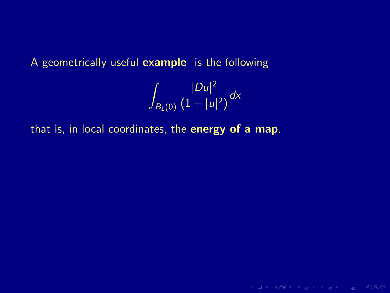# A geometrically useful example is the following

$$
\int_{B_1(0)} \frac{|Du|^2}{(1+|u|^2)} dx
$$

K ロ > K 레 > K 로 > K 로 > 트로 → 9 Q Q +

that is, in local coordinates, the energy of a map.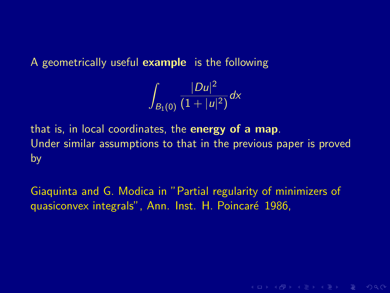A geometrically useful example is the following

$$
\int_{B_1(0)}\frac{|Du|^2}{(1+|u|^2)}dx
$$

that is, in local coordinates, the **energy of a map**. Under similar assumptions to that in the previous paper is proved by

Giaquinta and G. Modica in "Partial regularity of minimizers of quasiconvex integrals", Ann. Inst. H. Poincar´e 1986,

**KO KARA KE KE KE YA KA**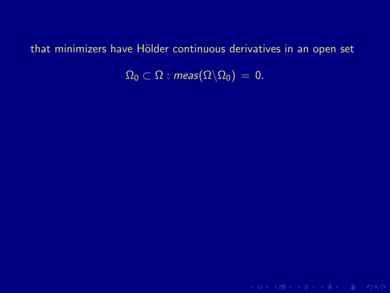$\Omega_0 \subset \Omega$  : meas $(\Omega \backslash \Omega_0) = 0$ .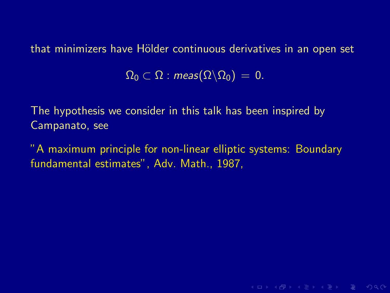$\Omega_0 \subset \Omega$  : meas $(\Omega \backslash \Omega_0) = 0$ .

The hypothesis we consider in this talk has been inspired by Campanato, see

"A maximum principle for non-linear elliptic systems: Boundary fundamental estimates", Adv. Math., 1987,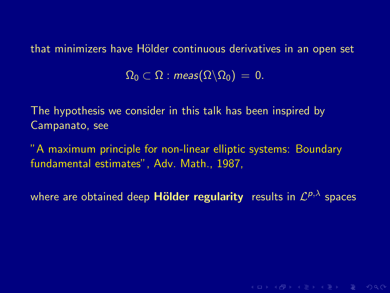$\Omega_0 \subset \Omega$  : meas $(\Omega \backslash \Omega_0) = 0$ .

The hypothesis we consider in this talk has been inspired by Campanato, see

"A maximum principle for non-linear elliptic systems: Boundary fundamental estimates", Adv. Math., 1987,

where are obtained deep <code>Hölder regularity</code> results in  $\mathcal{L}^{p,\lambda}$  spaces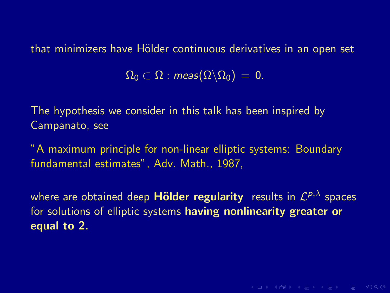$\Omega_0 \subset \Omega$  : meas $(\Omega \backslash \Omega_0) = 0$ .

The hypothesis we consider in this talk has been inspired by Campanato, see

"A maximum principle for non-linear elliptic systems: Boundary fundamental estimates", Adv. Math., 1987,

where are obtained deep <code>Hölder regularity</code> results in  $\mathcal{L}^{p,\lambda}$  spaces for solutions of elliptic systems having nonlinearity greater or equal to 2.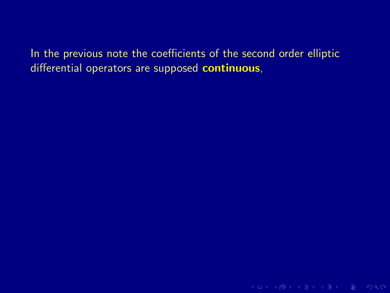In the previous note the coefficients of the second order elliptic differential operators are supposed continuous,

K ロ > K @ > K 로 > K 로 > E = Y Q Q O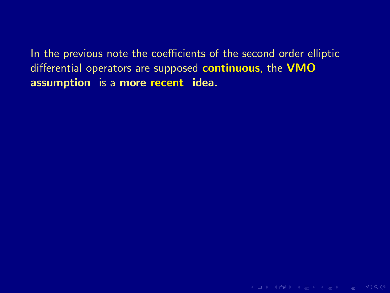K ロ > K 레 > K 로 > K 로 > - 로 - K 9 Q Q +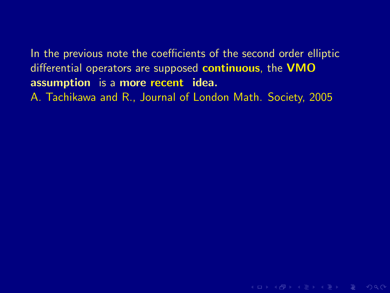In the previous note the coefficients of the second order elliptic differential operators are supposed continuous, the VMO assumption is a more recent idea. A. Tachikawa and R., Journal of London Math. Society, 2005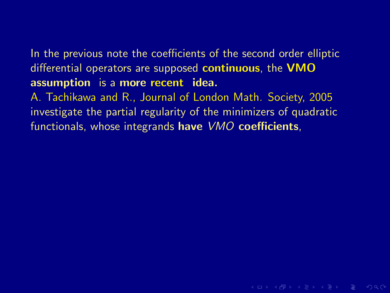A. Tachikawa and R., Journal of London Math. Society, 2005 investigate the partial regularity of the minimizers of quadratic functionals, whose integrands have VMO coefficients,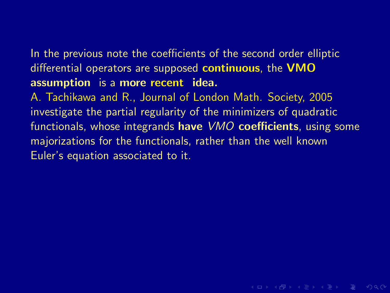A. Tachikawa and R., Journal of London Math. Society, 2005 investigate the partial regularity of the minimizers of quadratic functionals, whose integrands have *VMO* coefficients, using some majorizations for the functionals, rather than the well known Euler's equation associated to it.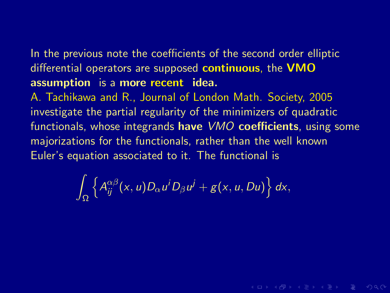A. Tachikawa and R., Journal of London Math. Society, 2005 investigate the partial regularity of the minimizers of quadratic functionals, whose integrands have *VMO* coefficients, using some majorizations for the functionals, rather than the well known Euler's equation associated to it. The functional is

$$
\int_{\Omega}\left\{A_{ij}^{\alpha\beta}(x,u)D_{\alpha}u^{i}D_{\beta}u^{j}+g(x,u,Du)\right\}dx,
$$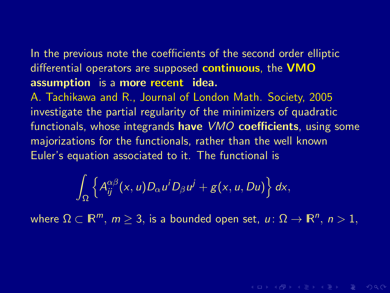A. Tachikawa and R., Journal of London Math. Society, 2005 investigate the partial regularity of the minimizers of quadratic functionals, whose integrands have *VMO* coefficients, using some majorizations for the functionals, rather than the well known Euler's equation associated to it. The functional is

$$
\int_{\Omega}\left\{A_{ij}^{\alpha\beta}(x,u)D_{\alpha}u^{i}D_{\beta}u^{j}+g(x,u,Du)\right\}dx,
$$

where  $\Omega \subset \mathbb{R}^m$ ,  $m \geq 3$ , is a bounded open set,  $u \colon \Omega \to \mathbb{R}^n$ ,  $n > 1$ ,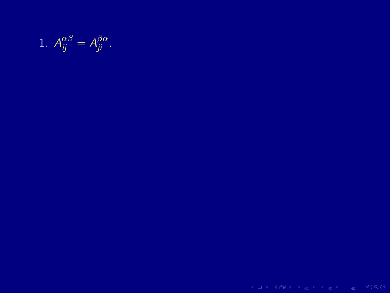1.  $A_{ii}^{\alpha\beta}$  $\frac{\alpha\beta}{ij} = A_{ji}^{\beta\alpha}$ .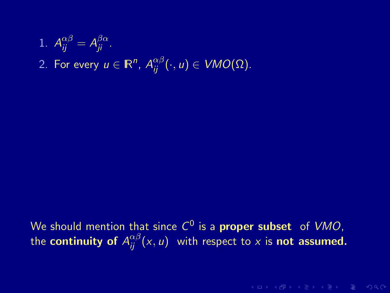1. 
$$
A_{ij}^{\alpha\beta} = A_{ji}^{\beta\alpha}
$$
.  
2. For every  $u \in \mathbb{R}^n$ ,  $A_{ij}^{\alpha\beta}(\cdot, u) \in VMO(\Omega)$ .

We should mention that since  $C^0$  is a **proper subset** of  $VMO$ , the **continuity of**  $A_{ij}^{\alpha\beta}(\mathsf{x},\mathsf{u})$  with respect to  $\mathsf{x}$  is **not assumed.**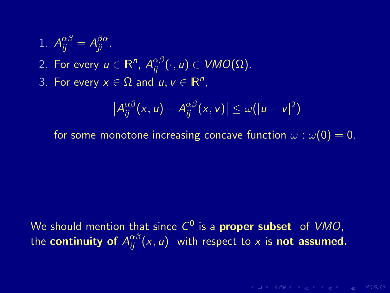\n- 1. 
$$
A_{ij}^{\alpha\beta} = A_{ji}^{\beta\alpha}
$$
.
\n- 2. For every  $u \in \mathbb{R}^n$ ,  $A_{ij}^{\alpha\beta}(\cdot, u) \in VMO(\Omega)$ .
\n- 3. For every  $x \in \Omega$  and  $u, v \in \mathbb{R}^n$ ,
\n

$$
\left|A_{ij}^{\alpha\beta}(x,u)-A_{ij}^{\alpha\beta}(x,v)\right|\leq \omega(|u-v|^2)
$$

for some monotone increasing concave function  $\omega : \omega(0) = 0$ .

We should mention that since  $C^0$  is a **proper subset** of  $VMO$ , the **continuity of**  $A_{ij}^{\alpha\beta}(\mathsf{x},\mathsf{u})$  with respect to  $\mathsf{x}$  is **not assumed.**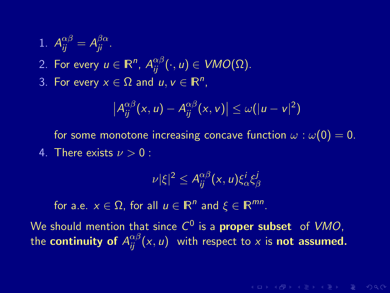\n- 1. 
$$
A_{ij}^{\alpha\beta} = A_{ji}^{\beta\alpha}
$$
.
\n- 2. For every  $u \in \mathbb{R}^n$ ,  $A_{ij}^{\alpha\beta}(\cdot, u) \in VMO(\Omega)$ .
\n- 3. For every  $x \in \Omega$  and  $u, v \in \mathbb{R}^n$ ,
\n

$$
\left|A_{ij}^{\alpha\beta}(x,u)-A_{ij}^{\alpha\beta}(x,v)\right|\leq \omega(|u-v|^2)
$$

for some monotone increasing concave function  $\omega : \omega(0) = 0$ . 4. There exists  $\nu > 0$ :

$$
|\nu|\xi|^2 \le A_{ij}^{\alpha\beta}(x,u)\xi_\alpha^i\xi_\beta^j
$$

for a.e.  $x \in \Omega$ , for all  $u \in \mathbb{R}^n$  and  $\xi \in \mathbb{R}^{mn}$ .

We should mention that since  $C^0$  is a **proper subset** of  $VMO$ , the **continuity of**  $A_{ij}^{\alpha\beta}(\mathsf{x},\mathsf{u})$  with respect to  $\mathsf{x}$  is **not assumed.**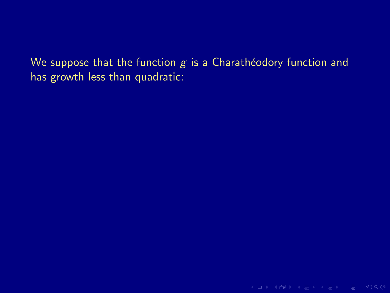We suppose that the function  $g$  is a Charathéodory function and has growth less than quadratic:

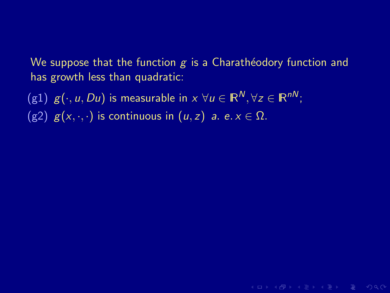We suppose that the function  $g$  is a Charathéodory function and has growth less than quadratic:

KERK (FRACT) A BAR DE VOQO

(g1)  $g(\cdot, u, Du)$  is measurable in  $x \forall u \in \mathbb{R}^N, \forall z \in \mathbb{R}^{nN}$ ;

(g2)  $g(x, \cdot, \cdot)$  is continuous in  $(u, z)$  a. e.  $x \in \Omega$ .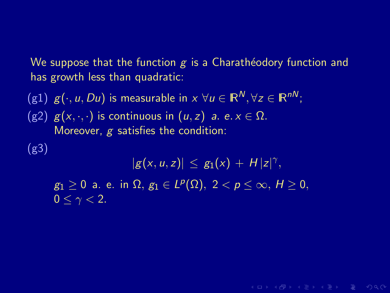We suppose that the function  $g$  is a Charathéodory function and has growth less than quadratic:

(g1)  $g(\cdot, u, Du)$  is measurable in  $x \forall u \in \mathbb{R}^N$ ,  $\forall z \in \mathbb{R}^{nN}$ ; (g2)  $g(x, \cdot, \cdot)$  is continuous in  $(u, z)$  a. e.  $x \in \Omega$ . Moreover,  $g$  satisfies the condition:

(g3)

 $|g(x, u, z)| \leq g_1(x) + H|z|^{\gamma},$  $g_1\geq 0$  a. e. in  $\Omega,\,g_1\in L^p(\Omega),\,\,2< p\leq\infty,\,H\geq 0,$  $0 \leq \gamma < 2$ .

**KORKAR KERKER E MAN**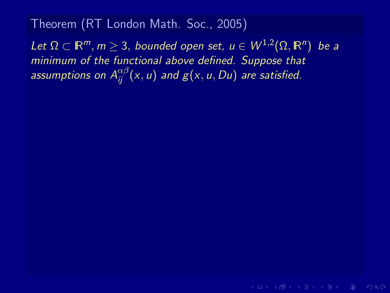Let  $\Omega \subset \mathbb{R}^m$ ,  $m \geq 3$ , bounded open set,  $u \in W^{1,2}(\Omega,\mathbb{R}^n)$  be a minimum of the functional above defined. Suppose that assumptions on  $A_{ij}^{\alpha\beta}(\mathsf{x},\mathsf{u})$  and  $g(\mathsf{x},\mathsf{u},D\mathsf{u})$  are satisfied.

**KORKAR KERKER E VAN**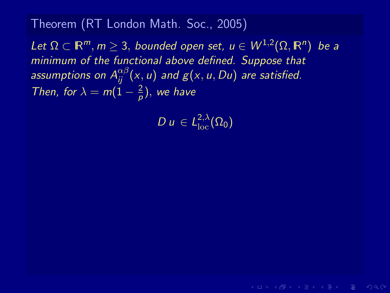Let  $\Omega \subset \mathbb{R}^m$ ,  $m \geq 3$ , bounded open set,  $u \in W^{1,2}(\Omega,\mathbb{R}^n)$  be a minimum of the functional above defined. Suppose that assumptions on  $A_{ij}^{\alpha\beta}(\mathsf{x},\mathsf{u})$  and  $g(\mathsf{x},\mathsf{u},D\mathsf{u})$  are satisfied. Then, for  $\lambda = m(1 - \frac{2}{n})$  $\frac{2}{p}$ ), we have

 $D u \in L^{2,\lambda}_{\rm loc}(\Omega_0)$ 

**KORKAR KERKER E VAN**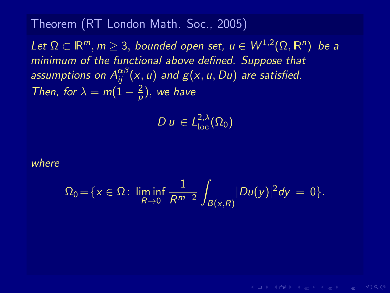Let  $\Omega \subset \mathbb{R}^m$ ,  $m \geq 3$ , bounded open set,  $u \in W^{1,2}(\Omega,\mathbb{R}^n)$  be a minimum of the functional above defined. Suppose that assumptions on  $A_{ij}^{\alpha\beta}(\mathsf{x},\mathsf{u})$  and  $g(\mathsf{x},\mathsf{u},D\mathsf{u})$  are satisfied. Then, for  $\lambda = m(1 - \frac{2}{n})$  $\frac{2}{p}$ ), we have

 $D u \in L^{2,\lambda}_{\rm loc}(\Omega_0)$ 

where

$$
\Omega_0 = \{x \in \Omega \colon \liminf_{R \to 0} \frac{1}{R^{m-2}} \int_{B(x,R)} |Du(y)|^2 dy = 0\}.
$$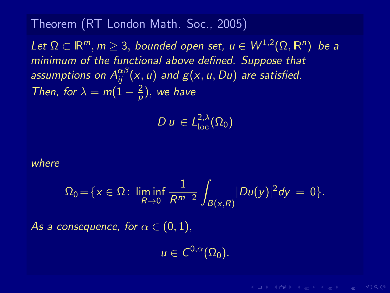Let  $\Omega \subset \mathbb{R}^m$ ,  $m \geq 3$ , bounded open set,  $u \in W^{1,2}(\Omega,\mathbb{R}^n)$  be a minimum of the functional above defined. Suppose that assumptions on  $A_{ij}^{\alpha\beta}(\mathsf{x},\mathsf{u})$  and  $g(\mathsf{x},\mathsf{u},D\mathsf{u})$  are satisfied. Then, for  $\lambda = m(1 - \frac{2}{n})$  $\frac{2}{p}$ ), we have

 $D u \in L^{2,\lambda}_{\rm loc}(\Omega_0)$ 

where

$$
\Omega_0 = \{x \in \Omega: \liminf_{R \to 0} \frac{1}{R^{m-2}} \int_{B(x,R)} |Du(y)|^2 dy = 0\}.
$$

As a consequence, for  $\alpha \in (0,1)$ ,

 $u \in C^{0,\alpha}(\Omega_0).$ 

**KORKAR KERKER E VAN**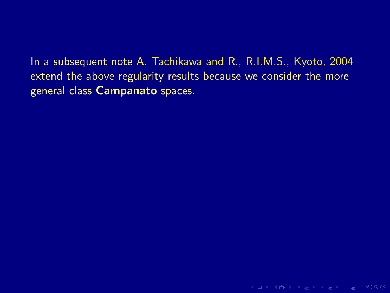In a subsequent note A. Tachikawa and R., R.I.M.S., Kyoto, 2004

extend the above regularity results because we consider the more general class Campanato spaces.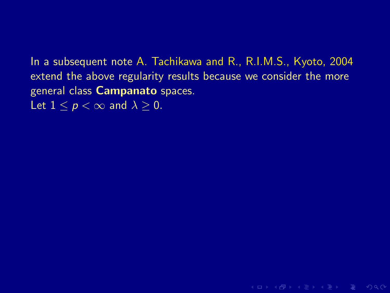In a subsequent note A. Tachikawa and R., R.I.M.S., Kyoto, 2004 extend the above regularity results because we consider the more general class Campanato spaces.

Let  $1 \leq p \leq \infty$  and  $\lambda > 0$ .

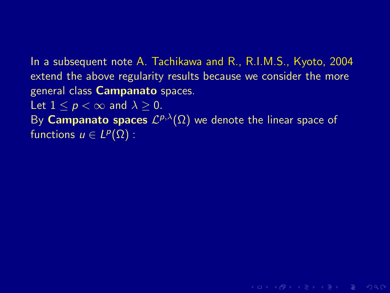In a subsequent note A. Tachikawa and R., R.I.M.S., Kyoto, 2004 extend the above regularity results because we consider the more general class Campanato spaces. Let  $1 \leq p \leq \infty$  and  $\lambda \geq 0$ .

By Campanato spaces  $\mathcal{L}^{p,\lambda}(\Omega)$  we denote the linear space of functions  $u \in L^p(\Omega)$ :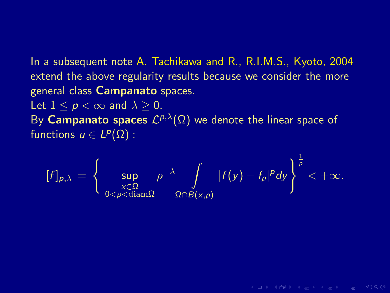In a subsequent note A. Tachikawa and R., R.I.M.S., Kyoto, 2004 extend the above regularity results because we consider the more general class Campanato spaces.

Let  $1 \leq p \leq \infty$  and  $\lambda \geq 0$ . By Campanato spaces  $\mathcal{L}^{p,\lambda}(\Omega)$  we denote the linear space of functions  $u \in L^p(\Omega)$ :

$$
[f]_{p,\lambda} = \left\{ \sup_{\substack{x \in \Omega \\ 0 < \rho < \text{diam}\Omega}} \rho^{-\lambda} \int\limits_{\Omega \cap B(x,\rho)} |f(y) - f_{\rho}|^p dy \right\}^{\frac{1}{p}} < +\infty.
$$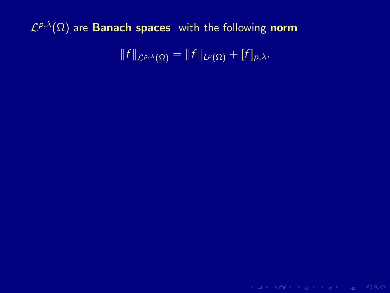$||f||_{\mathcal{L}^{p,\lambda}(\Omega)} = ||f||_{L^p(\Omega)} + [f]_{p,\lambda}.$ 

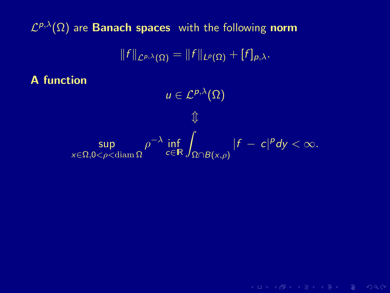$$
||f||_{\mathcal{L}^{p,\lambda}(\Omega)}=||f||_{L^p(\Omega)}+[f]_{p,\lambda}.
$$

A function

$$
u \in \mathcal{L}^{p,\lambda}(\Omega)
$$
  

$$
\Downarrow
$$
  

$$
\sup_{x \in \Omega, 0 < \rho < \text{diam }\Omega} \rho^{-\lambda} \inf_{c \in \mathbb{R}} \int_{\Omega \cap B(x,\rho)} |f - c|^p dy < \infty.
$$

K ロ > K 레 > K 로 > K 로 > 트 로 → K Q Q Q +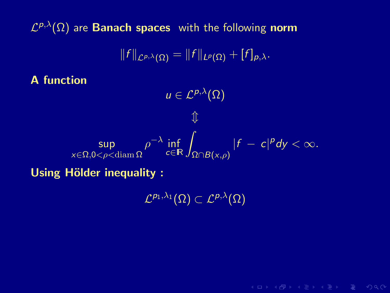$$
||f||_{\mathcal{L}^{p,\lambda}(\Omega)}=||f||_{L^p(\Omega)}+[f]_{p,\lambda}.
$$

A function

 $u \in \mathcal{L}^{p,\lambda}(\Omega)$  $\hat{\mathbb{I}}$ sup x∈Ω,0<ρ<diam Ω  $\rho^{-\lambda}$  inf  $\int_{\Omega \cap B(x,\rho)}$  $|f - c|^p dy < \infty$ .

Using Hölder inequality :

 ${\cal L}^{p_1,\lambda_1}(\Omega)\subset{\cal L}^{p,\lambda}(\Omega)$ 

**KORKAR KERKER E MAG**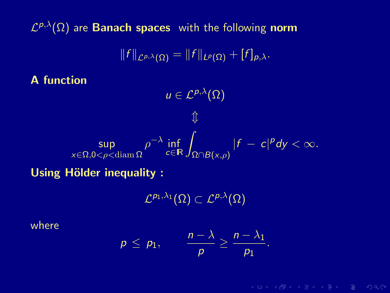$$
||f||_{\mathcal{L}^{p,\lambda}(\Omega)}=||f||_{L^p(\Omega)}+[f]_{p,\lambda}.
$$

A function

$$
\Downarrow
$$
\n
$$
\Downarrow
$$
\n
$$
\Downarrow
$$
\n
$$
\Downarrow
$$
\n
$$
\Downarrow
$$
\n
$$
\Downarrow
$$
\n
$$
\Downarrow
$$
\n
$$
\Downarrow
$$
\n
$$
\Downarrow
$$
\n
$$
\Downarrow
$$
\n
$$
\Downarrow
$$
\n
$$
\Downarrow
$$
\n
$$
\Downarrow
$$
\n
$$
\Downarrow
$$
\n
$$
\Downarrow
$$
\n
$$
\Downarrow
$$
\n
$$
\Downarrow
$$
\n
$$
\Downarrow
$$
\n
$$
\Downarrow
$$
\n
$$
\Downarrow
$$
\n
$$
\Downarrow
$$
\n
$$
\Downarrow
$$
\n
$$
\Downarrow
$$
\n
$$
\Downarrow
$$
\n
$$
\Downarrow
$$
\n
$$
\Downarrow
$$
\n
$$
\Downarrow
$$
\n
$$
\Downarrow
$$
\n
$$
\Downarrow
$$
\n
$$
\Downarrow
$$
\n
$$
\Downarrow
$$
\n
$$
\Downarrow
$$
\n
$$
\Downarrow
$$
\n
$$
\Downarrow
$$
\n
$$
\Downarrow
$$
\n
$$
\Downarrow
$$
\n
$$
\Downarrow
$$
\n
$$
\Downarrow
$$
\n
$$
\Downarrow
$$
\n
$$
\Downarrow
$$
\n
$$
\Downarrow
$$
\n
$$
\Downarrow
$$
\n
$$
\Downarrow
$$
\n
$$
\Downarrow
$$
\n
$$
\Downarrow
$$
\n
$$
\Downarrow
$$
\n
$$
\Downarrow
$$
\n
$$
\Downarrow
$$
\n
$$
\Downarrow
$$
\n
$$
\Downarrow
$$
\n
$$
\Downarrow
$$
\n
$$
\Downarrow
$$
\n
$$
\Downarrow
$$
\n
$$
\Downarrow
$$
\n
$$
\Downarrow
$$
\n
$$
\Downarrow
$$
\n
$$
\Downarrow
$$
\n
$$
\Downarrow
$$
\n
$$
\Downarrow
$$
\n
$$
\Downarrow
$$
\n
$$
\Downarrow
$$
\n
$$
\Downarrow
$$
\n
$$
\Downarrow
$$
\n
$$
\Downarrow
$$

 $u \in \mathcal{L}^{p,\lambda}(\Omega)$ 

Using Hölder inequality :

 ${\cal L}^{p_1,\lambda_1}(\Omega)\subset{\cal L}^{p,\lambda}(\Omega)$ 

where

$$
p \leq p_1, \qquad \frac{n-\lambda}{p} \geq \frac{n-\lambda_1}{p_1}.
$$

**KORKAR KERKER E MAG**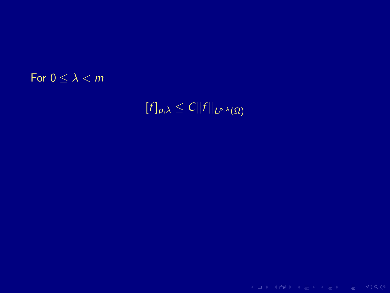## For  $0 \leq \lambda < m$

 $[f]_{p,\lambda} \leq C ||f||_{L^{p,\lambda}(\Omega)}$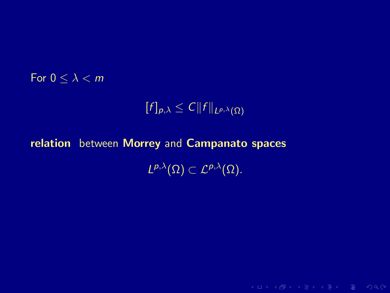## For  $0 \leq \lambda < m$

$$
[f]_{p,\lambda}\leq C\|f\|_{L^{p,\lambda}(\Omega)}
$$

K ロ > K @ > K 로 > K 로 > E = Y Q Q O

## relation between Morrey and Campanato spaces  $L^{p,\lambda}(\Omega) \subset \mathcal{L}^{p,\lambda}(\Omega).$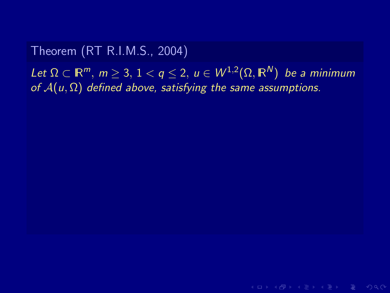## Theorem (RT R.I.M.S., 2004)

Let  $\Omega \subset \mathbb{R}^m$ ,  $m \geq 3, 1 < q \leq 2, u \in W^{1,2}(\Omega, \mathbb{R}^N)$  be a minimum of  $A(u, \Omega)$  defined above, satisfying the same assumptions.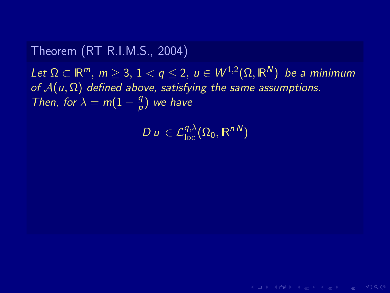## Theorem (RT R.I.M.S., 2004)

Let  $\Omega \subset \mathbb{R}^m$ ,  $m \geq 3, 1 < q \leq 2, u \in W^{1,2}(\Omega, \mathbb{R}^N)$  be a minimum of  $A(u, \Omega)$  defined above, satisfying the same assumptions. Then, for  $\lambda = m(1 - \frac{q}{p})$  $\frac{q}{\rho})$  we have

 $D u \in \mathcal{L}_{\text{loc}}^{q,\lambda}(\Omega_0,\mathbb{R}^{nN})$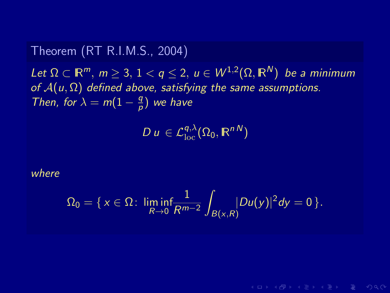## Theorem (RT R.I.M.S., 2004)

Let  $\Omega \subset \mathbb{R}^m$ ,  $m \geq 3, 1 < q \leq 2, u \in W^{1,2}(\Omega, \mathbb{R}^N)$  be a minimum of  $A(u, \Omega)$  defined above, satisfying the same assumptions. Then, for  $\lambda = m(1 - \frac{q}{p})$  $\frac{q}{\rho})$  we have

 $D u \in \mathcal{L}_{\text{loc}}^{q,\lambda}(\Omega_0,\mathbb{R}^{nN})$ 

## where

$$
\Omega_0=\{x\in\Omega\colon \liminf_{R\to 0}\frac{1}{R^{m-2}}\int_{B(x,R)}\!\!\!|Du(y)|^2dy=0\,\}.
$$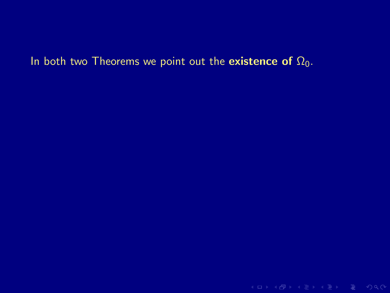## In both two Theorems we point out the existence of  $\Omega_0$ .

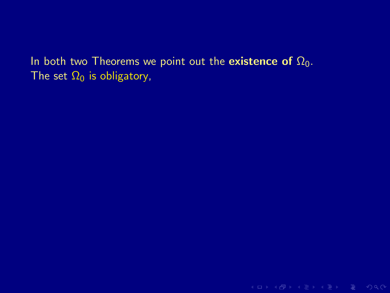In both two Theorems we point out the existence of  $\Omega_0$ . The set  $\Omega_0$  is obligatory,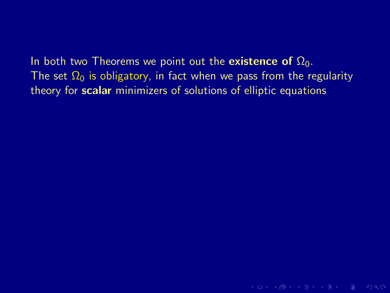# In both two Theorems we point out the existence of  $\Omega_0$ . The set  $\Omega_0$  is obligatory, in fact when we pass from the regularity

theory for scalar minimizers of solutions of elliptic equations

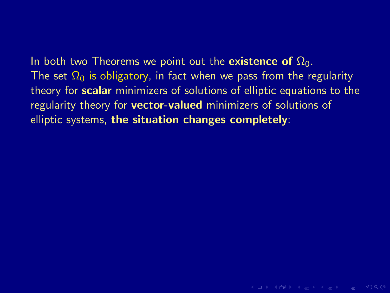In both two Theorems we point out the existence of  $\Omega_0$ . The set  $\Omega_0$  is obligatory, in fact when we pass from the regularity theory for **scalar** minimizers of solutions of elliptic equations to the regularity theory for **vector-valued** minimizers of solutions of elliptic systems, the situation changes completely: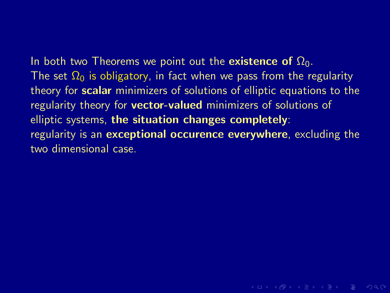In both two Theorems we point out the existence of  $\Omega_0$ . The set  $\Omega_0$  is obligatory, in fact when we pass from the regularity theory for **scalar** minimizers of solutions of elliptic equations to the regularity theory for **vector-valued** minimizers of solutions of elliptic systems, the situation changes completely: regularity is an **exceptional occurence everywhere**, excluding the two dimensional case.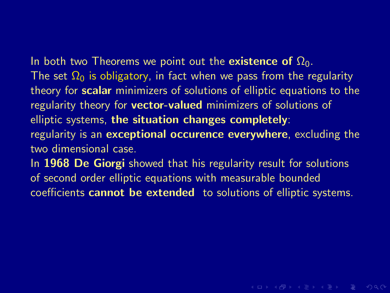In both two Theorems we point out the existence of  $\Omega_0$ . The set  $\Omega_0$  is obligatory, in fact when we pass from the regularity theory for **scalar** minimizers of solutions of elliptic equations to the regularity theory for **vector-valued** minimizers of solutions of elliptic systems, the situation changes completely: regularity is an **exceptional occurence everywhere**, excluding the two dimensional case. In 1968 De Giorgi showed that his regularity result for solutions of second order elliptic equations with measurable bounded

coefficients cannot be extended to solutions of elliptic systems.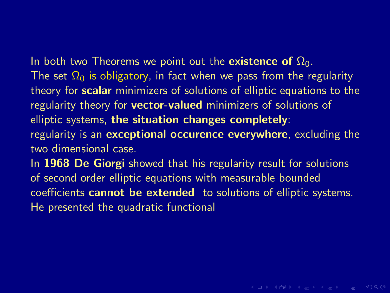In both two Theorems we point out the existence of  $\Omega_0$ . The set  $\Omega_0$  is obligatory, in fact when we pass from the regularity theory for **scalar** minimizers of solutions of elliptic equations to the regularity theory for **vector-valued** minimizers of solutions of elliptic systems, the situation changes completely: regularity is an **exceptional occurence everywhere**, excluding the two dimensional case.

In 1968 De Giorgi showed that his regularity result for solutions of second order elliptic equations with measurable bounded coefficients cannot be extended to solutions of elliptic systems. He presented the quadratic functional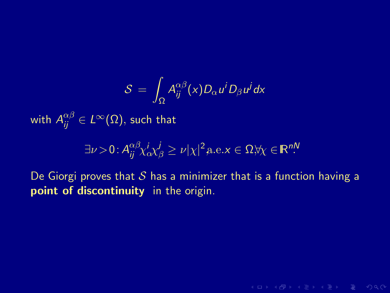$$
\mathcal{S} \,=\, \int_{\Omega} A^{\alpha\beta}_{ij}(x) D_{\alpha} u^i D_{\beta} u^j dx
$$

with  $A_{ij}^{\alpha\beta}\in L^{\infty}(\Omega),$  such that

$$
\exists \nu > 0 \colon A_{ij}^{\alpha\beta} \chi^i_{\alpha} \chi^j_{\beta} \ge \nu |\chi|^2 \text{a.e.} x \in \Omega, \forall \chi \in \mathbb{R}^{nN}
$$

De Giorgi proves that  $S$  has a minimizer that is a function having a point of discontinuity in the origin.

**KORKAR KERKER E MAN**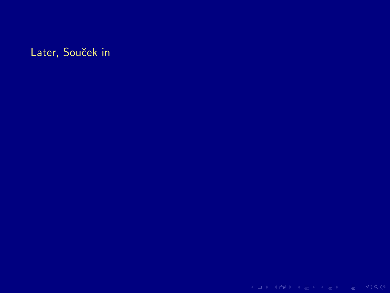Later, Souček in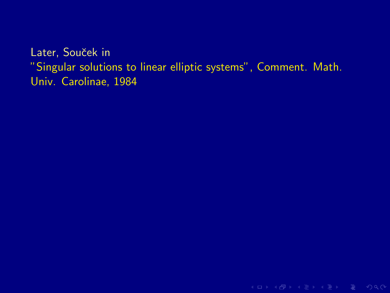## Later, Souček in "Singular solutions to linear elliptic systems", Comment. Math. Univ. Carolinae, 1984

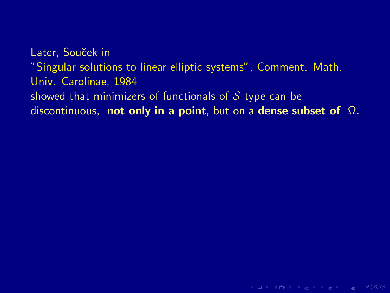Later, Souček in "Singular solutions to linear elliptic systems", Comment. Math. Univ. Carolinae, 1984 showed that minimizers of functionals of  $S$  type can be discontinuous, not only in a point, but on a dense subset of  $\Omega$ .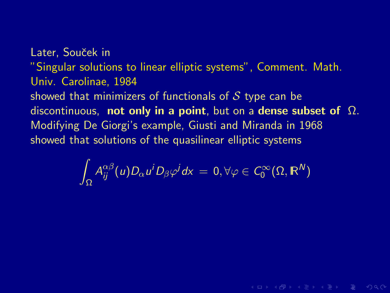Later, Souček in "Singular solutions to linear elliptic systems", Comment. Math. Univ. Carolinae, 1984 showed that minimizers of functionals of  $S$  type can be discontinuous, not only in a point, but on a dense subset of  $\Omega$ . Modifying De Giorgi's example, Giusti and Miranda in 1968 showed that solutions of the quasilinear elliptic systems

$$
\int_{\Omega} A_{ij}^{\alpha\beta}(u) D_{\alpha} u^i D_{\beta} \varphi^j d\mathsf{x} \,=\, 0, \forall \varphi \in \mathcal{C}_0^{\infty}(\Omega, \mathbb{R}^N)
$$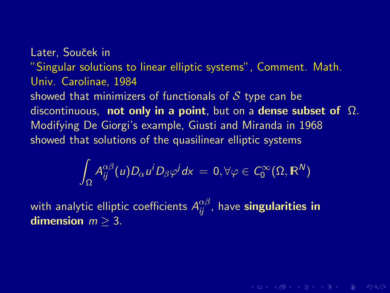Later, Souček in "Singular solutions to linear elliptic systems", Comment. Math. Univ. Carolinae, 1984 showed that minimizers of functionals of  $S$  type can be discontinuous, not only in a point, but on a dense subset of  $\Omega$ . Modifying De Giorgi's example, Giusti and Miranda in 1968 showed that solutions of the quasilinear elliptic systems

$$
\int_{\Omega} A_{ij}^{\alpha\beta}(u) D_{\alpha} u^i D_{\beta} \varphi^j d\mathsf{x} = 0, \forall \varphi \in \mathcal{C}_0^{\infty}(\Omega, \mathbb{R}^N)
$$

**KORKAR KERKER E VAN** 

with analytic elliptic coefficients  $A_{ij}^{\alpha\beta}$ , have **singularities in** dimension  $m > 3$ .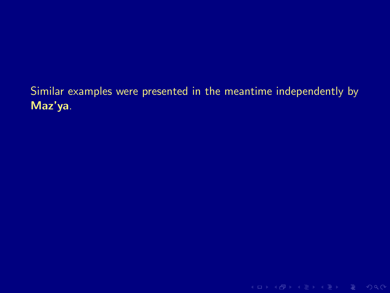## Similar examples were presented in the meantime independently by Maz'ya.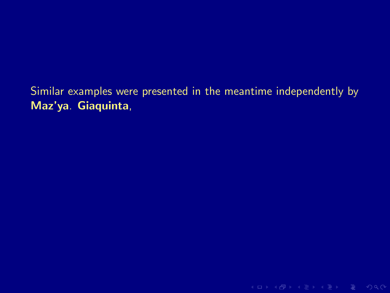## Similar examples were presented in the meantime independently by Maz'ya. Giaquinta,

**KID X 伊 X X ミ X X ミ X ミ X D X Q Q V**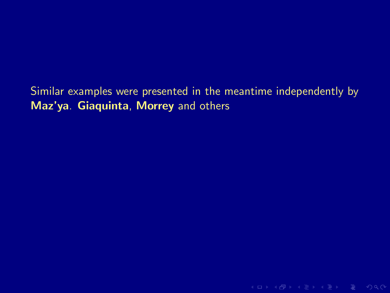Similar examples were presented in the meantime independently by Maz'ya. Giaquinta, Morrey and others

K ロ > K @ > K 로 > K 로 > E = Y Q Q O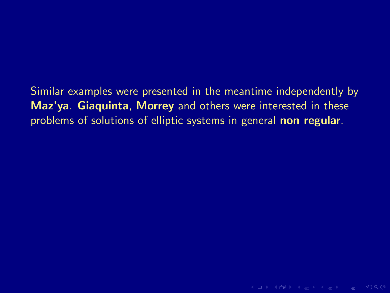Similar examples were presented in the meantime independently by Maz'ya. Giaquinta, Morrey and others were interested in these problems of solutions of elliptic systems in general non regular.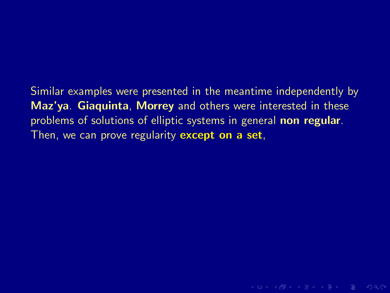Similar examples were presented in the meantime independently by Maz'ya. Giaquinta, Morrey and others were interested in these problems of solutions of elliptic systems in general non regular. Then, we can prove regularity **except on a set**,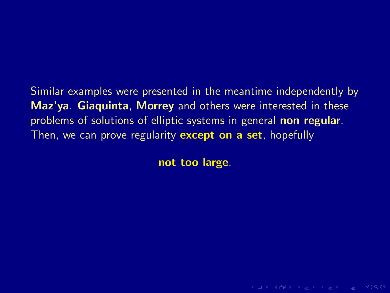Similar examples were presented in the meantime independently by Maz'ya. Giaquinta, Morrey and others were interested in these problems of solutions of elliptic systems in general non regular. Then, we can prove regularity **except on a set**, hopefully

not too large.

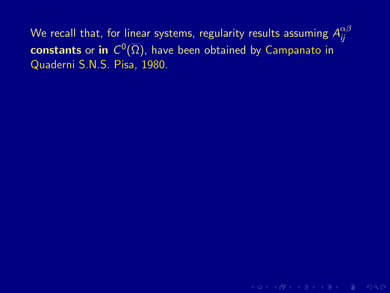We recall that, for linear systems, regularity results assuming  $A^{\alpha\beta}_{ii}$ ij  $\mathsf{constants}$  or in  $\mathsf{C}^0(\overline{\Omega}),$  have been obtained by  $\mathsf{Campanato}$  in Quaderni S.N.S. Pisa, 1980.

K ロ X K ④ X X B X X B X X B → O Q Q O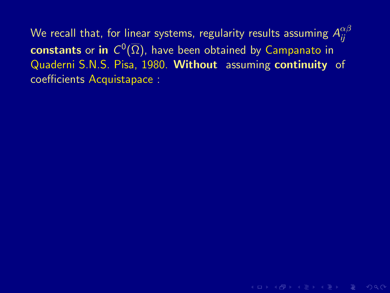K ロ X K ④ X X B X X B X X B → O Q Q O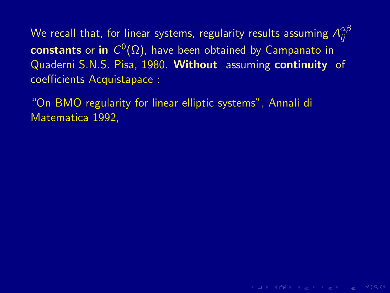"On BMO regularity for linear elliptic systems", Annali di Matematica 1992,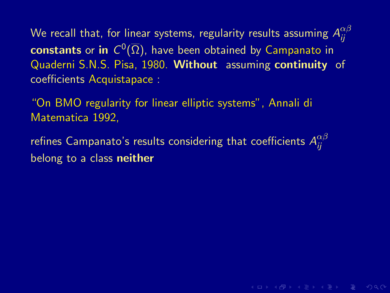"On BMO regularity for linear elliptic systems", Annali di Matematica 1992,

refines Campanato's results considering that coefficients  $A^{\alpha\beta}_{ii}$ ij belong to a class neither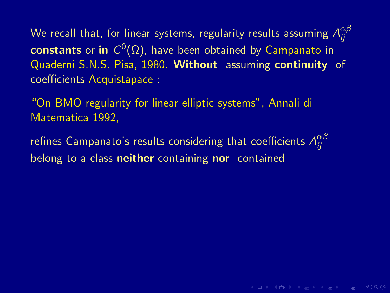"On BMO regularity for linear elliptic systems", Annali di Matematica 1992,

refines Campanato's results considering that coefficients  $A^{\alpha\beta}_{ii}$ ij belong to a class neither containing nor contained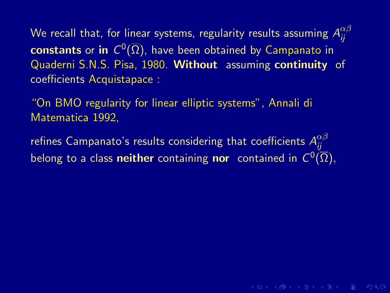"On BMO regularity for linear elliptic systems", Annali di Matematica 1992,

refines Campanato's results considering that coefficients  $A^{\alpha\beta}_{ii}$ ij belong to a class **neither** containing **nor** contained in  $C^0(\overline{\Omega}),$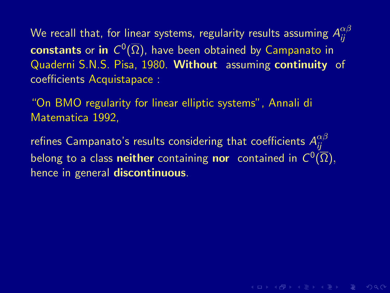"On BMO regularity for linear elliptic systems", Annali di Matematica 1992,

refines Campanato's results considering that coefficients  $A^{\alpha\beta}_{ii}$ ij belong to a class **neither** containing **nor** contained in  $C^0(\overline{\Omega}),$ hence in general **discontinuous**.

**KED KAD KED KED E VOQO**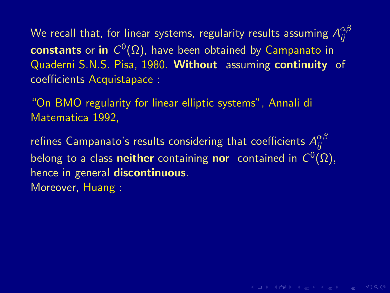"On BMO regularity for linear elliptic systems", Annali di Matematica 1992,

refines Campanato's results considering that coefficients  $A^{\alpha\beta}_{ii}$ ij belong to a class **neither** containing **nor** contained in  $C^0(\overline{\Omega}),$ hence in general **discontinuous**. Moreover, Huang :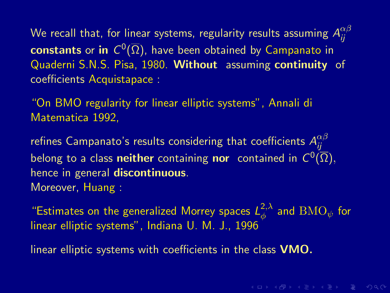"On BMO regularity for linear elliptic systems", Annali di Matematica 1992,

refines Campanato's results considering that coefficients  $A^{\alpha\beta}_{ii}$ ij belong to a class **neither** containing **nor** contained in  $C^0(\overline{\Omega}),$ hence in general discontinuous. Moreover, Huang :

"Estimates on the generalized Morrey spaces  $L^{2,\lambda}_{\phi}$  $_{\phi}^{2,\lambda}$  and  ${\rm BMO}_{\psi}$  for linear elliptic systems", Indiana U. M. J., 1996

linear elliptic systems with coefficients in the class VMO.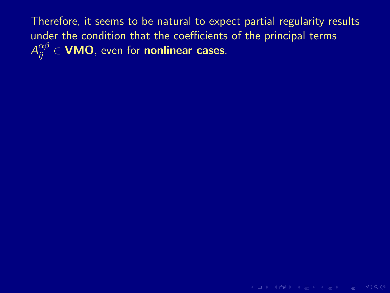K ロ > K 레 > K 로 > K 로 > H 로 → K Q Q Q ·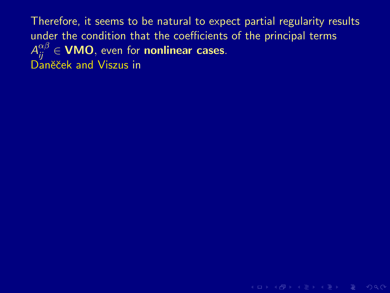**KID KINK WE KINK WE YOUR**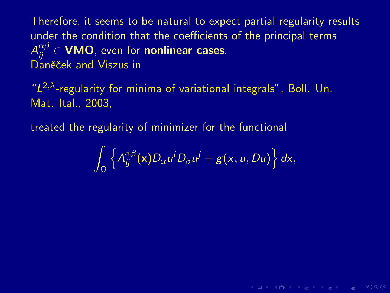" $L^{2,\lambda}$ -regularity for minima of variational integrals", Boll. Un. Mat. Ital., 2003,

treated the regularity of minimizer for the functional

$$
\int_{\Omega}\left\{A_{ij}^{\alpha\beta}(\mathbf{x})D_{\alpha}u^{i}D_{\beta}u^{j}+g(x,u,Du)\right\}dx,
$$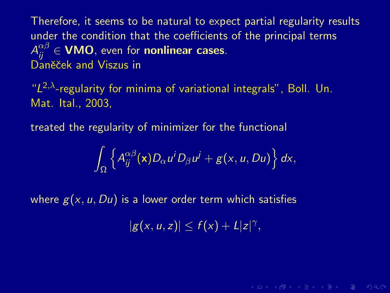" $L^{2,\lambda}$ -regularity for minima of variational integrals", Boll. Un. Mat. Ital., 2003,

treated the regularity of minimizer for the functional

$$
\int_{\Omega}\left\{A_{ij}^{\alpha\beta}(\mathbf{x})D_{\alpha}u^{i}D_{\beta}u^{j}+g(x,u,Du)\right\}dx,
$$

where  $g(x, u, Du)$  is a lower order term which satisfies

 $|g(x, u, z)| \leq f(x) + L|z|^{\gamma},$ 

**KORKAR KERKER DE VOQO**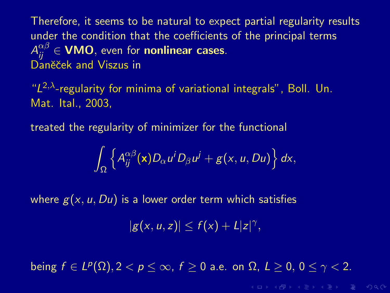" $L^{2,\lambda}$ -regularity for minima of variational integrals", Boll. Un. Mat. Ital., 2003,

treated the regularity of minimizer for the functional

$$
\int_{\Omega}\left\{A_{ij}^{\alpha\beta}(\mathbf{x})D_{\alpha}u^{i}D_{\beta}u^{j}+g(x,u,Du)\right\}dx,
$$

where  $g(x, u, Du)$  is a lower order term which satisfies

 $|g(x, u, z)| \leq f(x) + L|z|^{\gamma},$ 

being  $f \in L^p(\Omega), 2 < p \le \infty$ ,  $f \ge 0$  a.e. on  $\Omega, L \ge 0, 0 \le \gamma < 2$ .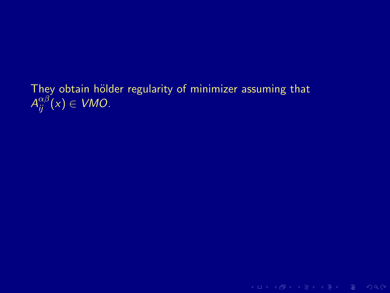They obtain hölder regularity of minimizer assuming that  $A_{ij}^{\alpha\beta}(x)\in VMO$ .

**KID X 伊 X X ミ X X ミ X ミ X D X Q Q V**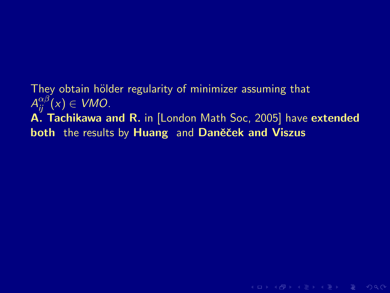They obtain hölder regularity of minimizer assuming that  $A_{ij}^{\alpha\beta}(x)\in VMO$ . A. Tachikawa and R. in [London Math Soc, 2005] have extended both the results by Huang and Daněček and Viszus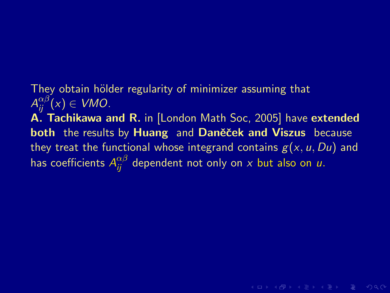They obtain hölder regularity of minimizer assuming that  $A_{ij}^{\alpha\beta}(x)\in VMO$ .

A. Tachikawa and R. in [London Math Soc, 2005] have extended both the results by Huang and Daněček and Viszus because they treat the functional whose integrand contains  $g(x, u, Du)$  and has coefficients  $A_{ij}^{\alpha\beta}$  dependent not only on  $x$  but also on  $u.$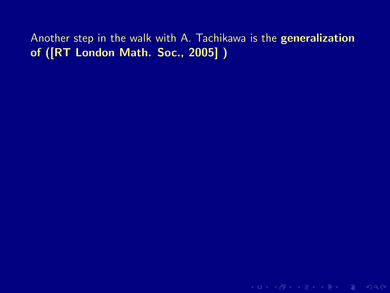Another step in the walk with A. Tachikawa is the generalization of ([RT London Math. Soc., 2005] )

K ロ > K 레 > K 로 > K 로 > 트 로 → K Q Q Q +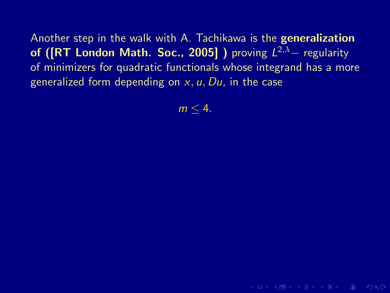Another step in the walk with A. Tachikawa is the generalization of ([RT London Math. Soc., 2005]) proving  $L^{2,\lambda}$  - regularity of minimizers for quadratic functionals whose integrand has a more generalized form depending on  $x, u, Du$ , in the case

 $m < 4$ .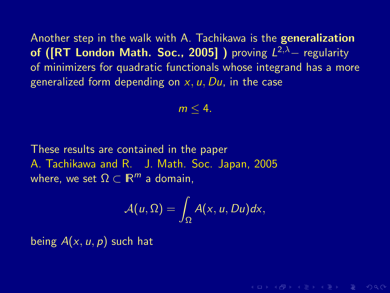Another step in the walk with A. Tachikawa is the generalization of ([RT London Math. Soc., 2005]) proving  $L^{2,\lambda}$  - regularity of minimizers for quadratic functionals whose integrand has a more generalized form depending on  $x, u, Du$ , in the case

$$
m\leq 4.
$$

These results are contained in the paper A. Tachikawa and R. J. Math. Soc. Japan, 2005 where, we set  $\Omega \subset \mathbb{R}^m$  a domain,

$$
\mathcal{A}(u,\Omega)=\int_{\Omega}A(x,u,Du)dx,
$$

**KORKAR KERKER E VAN** 

being  $A(x, u, p)$  such hat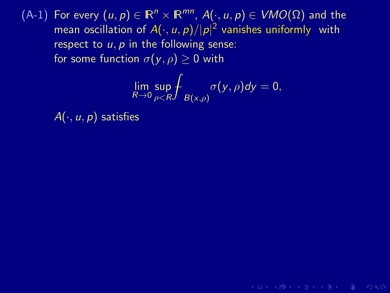$$
\lim_{R\to 0}\sup_{\rho
$$

 $A \cup B \cup A \cup B \cup A \subseteq B \cup A \subseteq B \cup B \cup B \cup B \cup A$ 

 $A(\cdot, u, p)$  satisfies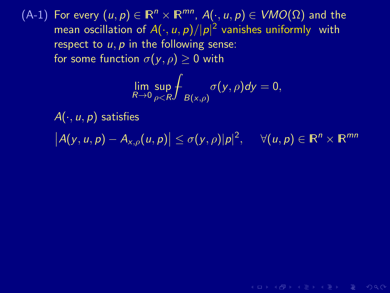$$
\lim_{R\to 0}\sup_{\rho
$$

 $A(\cdot, u, p)$  satisfies

 $|A(y, u, p) - A_{x, \rho}(u, p)| \le \sigma(y, \rho) |p|^2$ ,  $\forall (u, p) \in \mathbb{R}^n \times \mathbb{R}^{mn}$ 

**KOD KARD KED KED E YORA**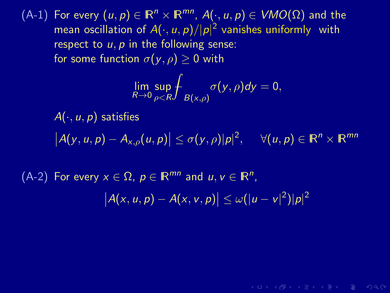$$
\lim_{R\to 0}\sup_{\rho
$$

 $A(\cdot, u, p)$  satisfies

 $|A(y, u, p) - A_{x, \rho}(u, p)| \le \sigma(y, \rho) |p|^2$ ,  $\forall (u, p) \in \mathbb{R}^n \times \mathbb{R}^{mn}$ 

 $(A-2)$  For every  $x \in \Omega$ ,  $p \in \mathbb{R}^{mn}$  and  $u, v \in \mathbb{R}^n$ ,

$$
|A(x,u,p)-A(x,v,p)|\leq \omega(|u-v|^2)|p|^2
$$

**KOD KARD KED KED E YORA**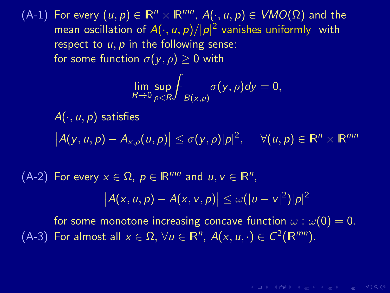$$
\lim_{R\to 0}\sup_{\rho
$$

 $A(\cdot, u, p)$  satisfies  $|A(y, u, p) - A_{x, \rho}(u, p)| \le \sigma(y, \rho) |p|^2$ ,  $\forall (u, p) \in \mathbb{R}^n \times \mathbb{R}^{mn}$ 

 $(A-2)$  For every  $x \in \Omega$ ,  $p \in \mathbb{R}^{mn}$  and  $u, v \in \mathbb{R}^n$ ,

$$
|A(x,u,p)-A(x,v,p)|\leq \omega(|u-v|^2)|p|^2
$$

for some monotone increasing concave function  $\omega$  :  $\omega(0) = 0$ . (A-3) For almost all  $x \in \Omega$ ,  $\forall u \in \mathbb{R}^n$ ,  $A(x, u, \cdot) \in C^2(\mathbb{R}^{mn})$ .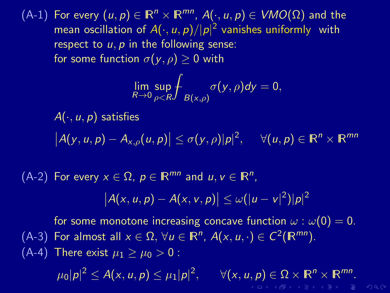$$
\lim_{R\to 0}\sup_{\rho
$$

 $A(\cdot, u, p)$  satisfies  $|A(y, u, p) - A_{x, \rho}(u, p)| \le \sigma(y, \rho) |p|^2$ ,  $\forall (u, p) \in \mathbb{R}^n \times \mathbb{R}^{mn}$ 

 $(A-2)$  For every  $x \in \Omega$ ,  $p \in \mathbb{R}^{mn}$  and  $u, v \in \mathbb{R}^n$ ,

$$
|A(x,u,p)-A(x,v,p)|\leq \omega(|u-v|^2)|p|^2
$$

for some monotone increasing concave function  $\omega$  :  $\omega(0) = 0$ . (A-3) For almost all  $x \in \Omega$ ,  $\forall u \in \mathbb{R}^n$ ,  $A(x, u, \cdot) \in C^2(\mathbb{R}^{mn})$ . (A-4) There exist  $\mu_1 \geq \mu_0 > 0$ :

> $\mu_0 |\boldsymbol{p}|^2 \leq A(\mathsf{x},\mathsf{u},\boldsymbol{p}) \leq \mu_1 |\boldsymbol{p}|^2$  $, \quad \forall (x, u, p) \in \Omega \times \mathbb{R}^n \times \mathbb{R}^{mn}.$ **YO A HEAR EN SHOP**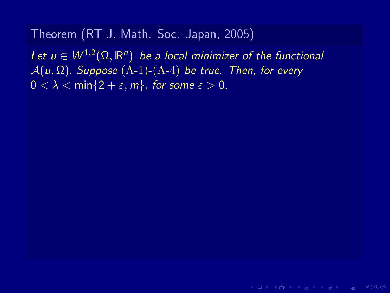Let  $u \in W^{1,2}(\Omega,\mathbb{R}^n)$  be a local minimizer of the functional  $A(u, \Omega)$ . Suppose  $(A-1)-(A-4)$  be true. Then, for every  $0 < \lambda < \min\{2 + \varepsilon, m\}$ , for some  $\varepsilon > 0$ ,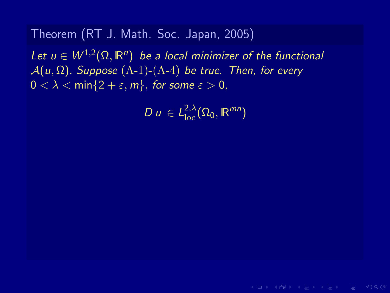Let  $u \in W^{1,2}(\Omega,\mathbb{R}^n)$  be a local minimizer of the functional  $\mathcal{A}(u,\Omega)$ . Suppose  $(A-1)-(A-4)$  be true. Then, for every  $0 < \lambda < \min\{2 + \varepsilon, m\}$ , for some  $\varepsilon > 0$ ,

 $D u \in L^{2,\lambda}_{\text{loc}}(\Omega_0,\mathbb{R}^{mn})$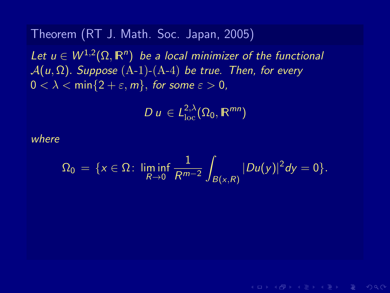Let  $u \in W^{1,2}(\Omega,\mathbb{R}^n)$  be a local minimizer of the functional  $A(u, \Omega)$ . Suppose  $(A-1)-(A-4)$  be true. Then, for every  $0 < \lambda < \min\{2 + \varepsilon, m\}$ , for some  $\varepsilon > 0$ ,

$$
D u \in L^{2,\lambda}_{\rm loc}(\Omega_0, \mathbb R^{mn})
$$

where

$$
\Omega_0 = \{x \in \Omega: \liminf_{R \to 0} \frac{1}{R^{m-2}} \int_{B(x,R)} |Du(y)|^2 dy = 0\}.
$$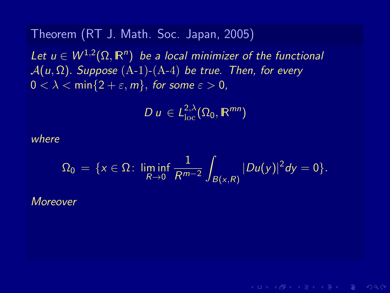Let  $u \in W^{1,2}(\Omega,\mathbb{R}^n)$  be a local minimizer of the functional  $A(u, \Omega)$ . Suppose  $(A-1)-(A-4)$  be true. Then, for every  $0 < \lambda < \min\{2 + \varepsilon, m\}$ , for some  $\varepsilon > 0$ ,

$$
D u \in L^{2,\lambda}_{\rm loc}(\Omega_0, \mathbb R^{mn})
$$

where

$$
\Omega_0 = \{x \in \Omega: \liminf_{R \to 0} \frac{1}{R^{m-2}} \int_{B(x,R)} |Du(y)|^2 dy = 0\}.
$$

**KORKAR KERKER E MAG** 

Moreover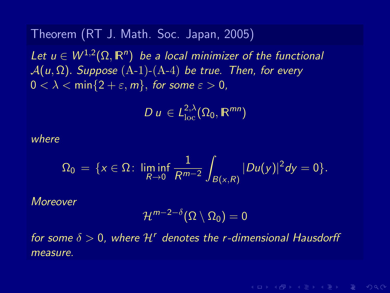Let  $u \in W^{1,2}(\Omega,\mathbb{R}^n)$  be a local minimizer of the functional  $A(u, \Omega)$ . Suppose  $(A-1)-(A-4)$  be true. Then, for every  $0 < \lambda < \min\{2 + \varepsilon, m\}$ , for some  $\varepsilon > 0$ ,

$$
D u \in L^{2,\lambda}_{\rm loc}(\Omega_0, \mathbb R^{mn})
$$

where

$$
\Omega_0 = \{x \in \Omega: \liminf_{R \to 0} \frac{1}{R^{m-2}} \int_{B(x,R)} |Du(y)|^2 dy = 0\}.
$$

Moreover

$$
\mathcal{H}^{m-2-\delta}(\Omega\setminus\Omega_0)=0
$$

for some  $\delta > 0$ , where  $\mathcal{H}^r$  denotes the r-dimensional Hausdorff measure.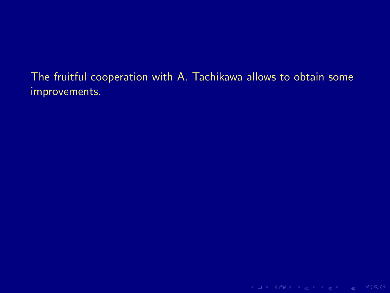The fruitful cooperation with A. Tachikawa allows to obtain some improvements.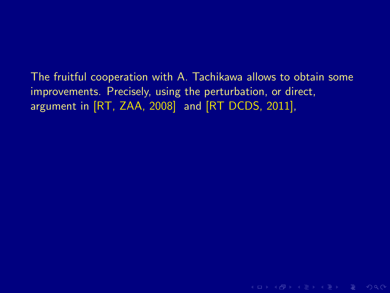The fruitful cooperation with A. Tachikawa allows to obtain some improvements. Precisely, using the perturbation, or direct, argument in [RT, ZAA, 2008] and [RT DCDS, 2011],

**KO KARA KE KE KE KARA**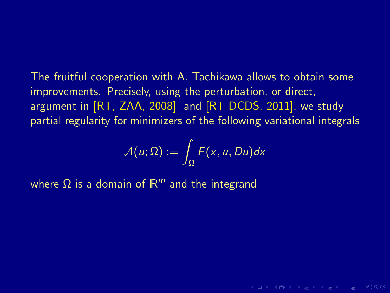The fruitful cooperation with A. Tachikawa allows to obtain some improvements. Precisely, using the perturbation, or direct, argument in [RT, ZAA, 2008] and [RT DCDS, 2011], we study partial regularity for minimizers of the following variational integrals

$$
\mathcal{A}(u;\Omega):=\int_{\Omega}F(x,u,Du)dx
$$

**KORKAR KERKER E VAN** 

where  $\Omega$  is a domain of  $\mathbb{R}^m$  and the integrand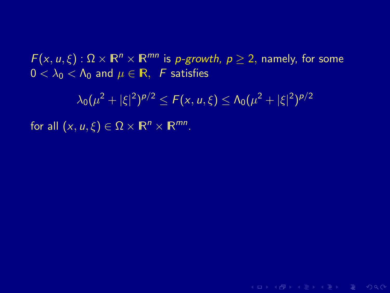$F(x, u, \xi): \Omega \times \mathbb{R}^n \times \mathbb{R}^{mn}$  is *p-growth*,  $p \ge 2$ , namely, for some  $0 < \lambda_0 < \Lambda_0$  and  $\mu \in \mathbb{R}$ , F satisfies

 $\lambda_0(\mu^2+|\xi|^2)^{p/2}\leq F(x,u,\xi)\leq \Lambda_0(\mu^2+|\xi|^2)^{p/2}$ 

for all  $(x, u, \xi) \in \Omega \times \mathbb{R}^n \times \mathbb{R}^{mn}$ .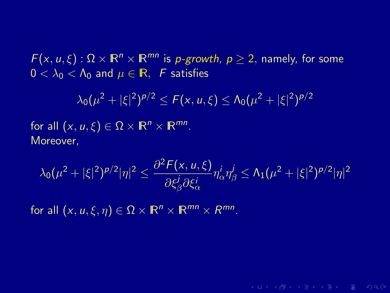$F(x, u, \xi): \Omega \times \mathbb{R}^n \times \mathbb{R}^{mn}$  is *p-growth*,  $p \ge 2$ , namely, for some  $0 < \lambda_0 < \Lambda_0$  and  $\mu \in \mathbb{R}$ , F satisfies

$$
\lambda_0(\mu^2+|\xi|^2)^{p/2} \leq F(x, u, \xi) \leq \Lambda_0(\mu^2+|\xi|^2)^{p/2}
$$

for all  $(x, u, \xi) \in \Omega \times \mathbb{R}^n \times \mathbb{R}^{mn}$ . Moreover,

$$
\lambda_0(\mu^2+|\xi|^2)^{p/2}|\eta|^2 \leq \frac{\partial^2 F(x, u, \xi)}{\partial \xi_{\beta}^j \partial \xi_{\alpha}^i} \eta_{\alpha}^j \eta_{\beta}^j \leq \Lambda_1(\mu^2+|\xi|^2)^{p/2}|\eta|^2
$$

**KORKAR KERKER E MAG** 

for all  $(x, u, \xi, \eta) \in \Omega \times \mathbb{R}^n \times \mathbb{R}^{mn} \times \mathbb{R}^{mn}$ .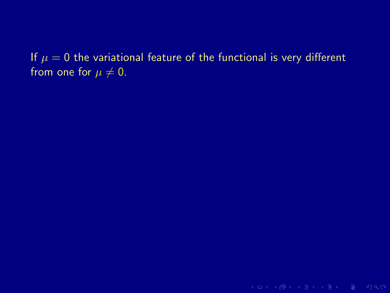If  $\mu = 0$  the variational feature of the functional is very different from one for  $\mu \neq 0$ .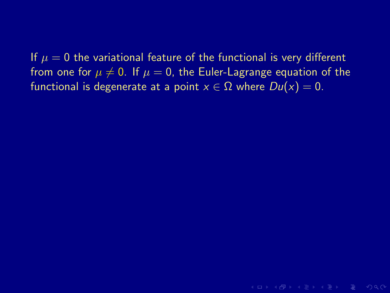If  $\mu = 0$  the variational feature of the functional is very different from one for  $\mu \neq 0$ . If  $\mu = 0$ , the Euler-Lagrange equation of the functional is degenerate at a point  $x \in \Omega$  where  $Du(x) = 0$ .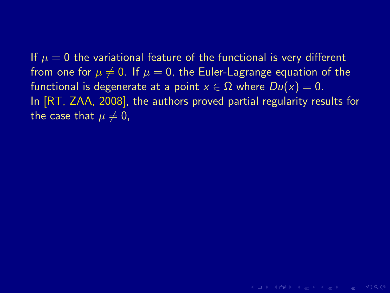If  $\mu = 0$  the variational feature of the functional is very different from one for  $\mu \neq 0$ . If  $\mu = 0$ , the Euler-Lagrange equation of the functional is degenerate at a point  $x \in \Omega$  where  $Du(x) = 0$ . In [RT, ZAA, 2008], the authors proved partial regularity results for the case that  $\mu \neq 0$ ,

**KORKAR KERKER E VOQO**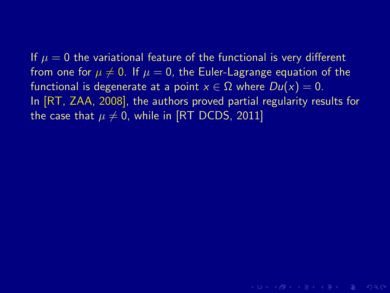**KORKAR KERKER E VOQO**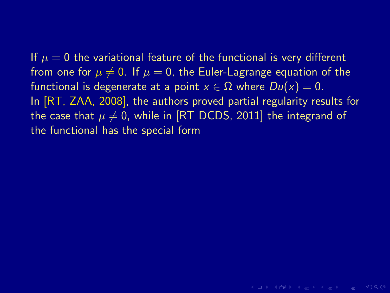**KORKAR KERKER E MAG**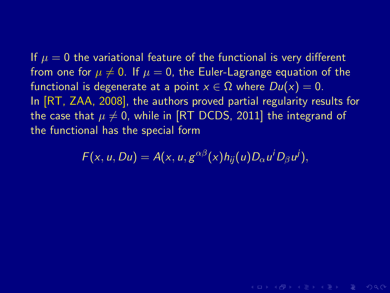$F(x, u, Du) = A(x, u, g^{\alpha\beta}(x)h_{ij}(u)D_{\alpha}u^{i}D_{\beta}u^{j}),$ 

**KORKAR KERKER E MAG**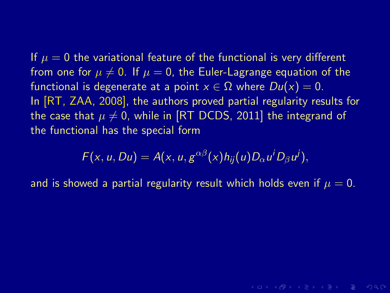$$
F(x, u, Du) = A(x, u, g^{\alpha\beta}(x)h_{ij}(u)D_{\alpha}u^{i}D_{\beta}u^{j}),
$$

and is showed a partial regularity result which holds even if  $\mu = 0$ .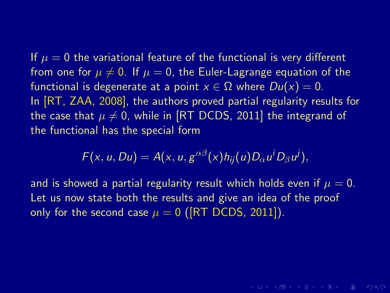$$
F(x, u, Du) = A(x, u, g^{\alpha\beta}(x)h_{ij}(u)D_{\alpha}u^{i}D_{\beta}u^{j}),
$$

and is showed a partial regularity result which holds even if  $\mu = 0$ . Let us now state both the results and give an idea of the proof only for the second case  $\mu = 0$  ([RT DCDS, 2011]).

**KORKAR KERKER E MAG**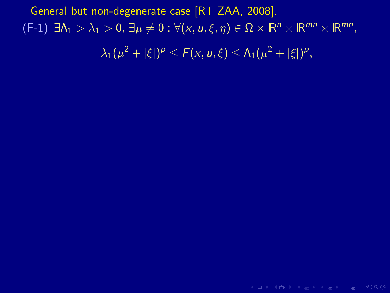K ロ > K 레 > K 로 > K 로 > E = X O Q O ·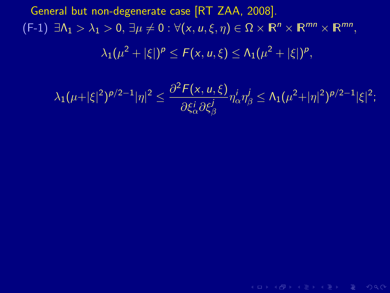$$
\lambda_1(\mu+|\xi|^2)^{p/2-1}|\eta|^2 \leq \frac{\partial^2 F(x, u, \xi)}{\partial \xi_\alpha^i \partial \xi_\beta^j} \eta_\alpha^i \eta_\beta^j \leq \Lambda_1(\mu^2+|\eta|^2)^{p/2-1}|\xi|^2;
$$

(ロ) (母) (目) (目) (目) 目 のQ(V)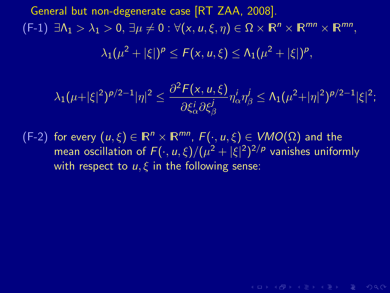$$
\lambda_1(\mu+|\xi|^2)^{p/2-1}|\eta|^2 \leq \frac{\partial^2 F(x, u, \xi)}{\partial \xi_\alpha^i \partial \xi_\beta^j} \eta_\alpha^i \eta_\beta^j \leq \Lambda_1(\mu^2+|\eta|^2)^{p/2-1}|\xi|^2;
$$

(F-2) for every  $(u,\xi) \in \mathbb{R}^n \times \mathbb{R}^{mn}$ ,  $F(\cdot, u, \xi) \in VMO(\Omega)$  and the mean oscillation of  $F(\cdot,u,\xi)/(\mu^2+|\xi|^2)^{2/p}$  vanishes uniformly with respect to  $u, \xi$  in the following sense: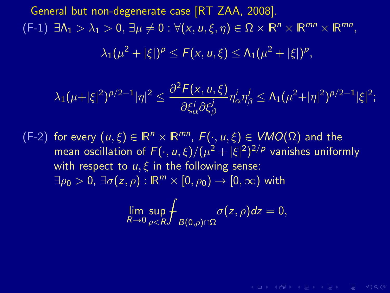$$
\lambda_1(\mu+|\xi|^2)^{p/2-1}|\eta|^2 \leq \frac{\partial^2 F(x,u,\xi)}{\partial \xi^i_\alpha \partial \xi^j_\beta} \eta^i_\alpha \eta^j_\beta \leq \Lambda_1(\mu^2+|\eta|^2)^{p/2-1}|\xi|^2;
$$

(F-2) for every  $(u,\xi) \in \mathbb{R}^n \times \mathbb{R}^{mn}$ ,  $F(\cdot, u, \xi) \in VMO(\Omega)$  and the mean oscillation of  $F(\cdot,u,\xi)/(\mu^2+|\xi|^2)^{2/p}$  vanishes uniformly with respect to  $u, \xi$  in the following sense:  $\exists \rho_0 > 0$ ,  $\exists \sigma(z, \rho) : \mathbb{R}^m \times [0, \rho_0) \rightarrow [0, \infty)$  with

$$
\lim_{R\to 0}\sup_{\rho
$$

**KO KARA KE KE KE KARA**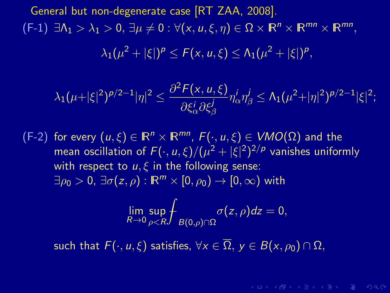$$
\lambda_1(\mu+|\xi|^2)^{p/2-1}|\eta|^2 \leq \frac{\partial^2 F(x, u, \xi)}{\partial \xi_\alpha^i \partial \xi_\beta^j} \eta_\alpha^i \eta_\beta^j \leq \Lambda_1(\mu^2+|\eta|^2)^{p/2-1}|\xi|^2;
$$

(F-2) for every  $(u,\xi) \in \mathbb{R}^n \times \mathbb{R}^{mn}$ ,  $F(\cdot, u, \xi) \in VMO(\Omega)$  and the mean oscillation of  $F(\cdot,u,\xi)/(\mu^2+|\xi|^2)^{2/p}$  vanishes uniformly with respect to  $u, \xi$  in the following sense:  $\exists \rho_0 > 0$ ,  $\exists \sigma(z, \rho) : \mathbb{R}^m \times [0, \rho_0) \rightarrow [0, \infty)$  with

$$
\lim_{R\to 0}\sup_{\rho
$$

 $A \cup B \cup A \cup B \cup A \subseteq B \cup A \subseteq B \cup B \cup B \cup B \cup A$ 

such that  $F(\cdot, u, \xi)$  satisfies,  $\forall x \in \overline{\Omega}$ ,  $y \in B(x, \rho_0) \cap \Omega$ ,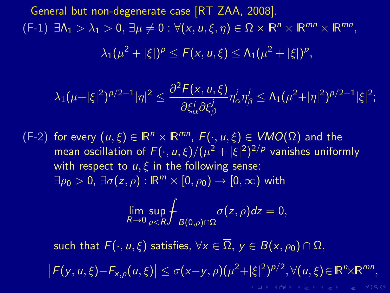$$
\lambda_1(\mu+|\xi|^2)^{p/2-1}|\eta|^2 \leq \frac{\partial^2 F(x, u, \xi)}{\partial \xi_\alpha^i \partial \xi_\beta^j} \eta_\alpha^i \eta_\beta^j \leq \Lambda_1(\mu^2+|\eta|^2)^{p/2-1}|\xi|^2;
$$

(F-2) for every  $(u,\xi) \in \mathbb{R}^n \times \mathbb{R}^{mn}$ ,  $F(\cdot, u, \xi) \in VMO(\Omega)$  and the mean oscillation of  $F(\cdot,u,\xi)/(\mu^2+|\xi|^2)^{2/p}$  vanishes uniformly with respect to  $u, \xi$  in the following sense:  $\exists \rho_0 > 0$ ,  $\exists \sigma(z, \rho) : \mathbb{R}^m \times [0, \rho_0) \rightarrow [0, \infty)$  with

$$
\lim_{R\to 0}\sup_{\rho
$$

such that  $F(\cdot, u, \xi)$  satisfies,  $\forall x \in \overline{\Omega}$ ,  $y \in B(x, \rho_0) \cap \Omega$ ,

 $|F(y, u, \xi) - F_{x, \rho}(u, \xi)| \le \sigma(x-y, \rho)(\mu^2 + |\xi|^2)^{\rho/2}, \forall (u, \xi) \in \mathbb{R}^n \times \mathbb{R}^{mn},$ **KOD KARD KED KED E VOQO**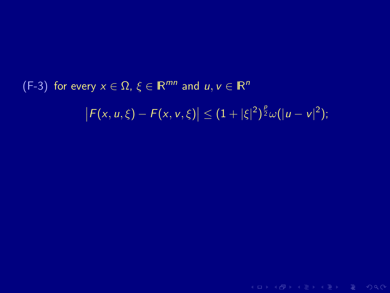# (F-3) for every  $x \in \Omega$ ,  $\xi \in \mathbb{R}^{mn}$  and  $u, v \in \mathbb{R}^n$  $|F(x, u, \xi) - F(x, v, \xi)| \leq (1 + |\xi|^2)^{\frac{p}{2}} \omega(|u - v|^2);$

**KID X 伊 X X ミ X X ミ X ミ X D X Q Q V**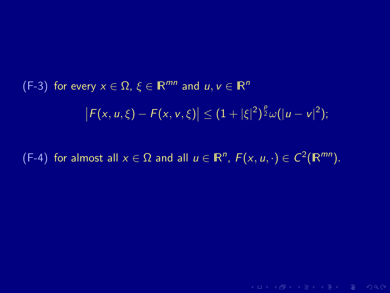(F-3) for every 
$$
x \in \Omega
$$
,  $\xi \in \mathbb{R}^{mn}$  and  $u, v \in \mathbb{R}^n$   

$$
\left| F(x, u, \xi) - F(x, v, \xi) \right| \leq (1 + |\xi|^2)^{\frac{p}{2}} \omega(|u - v|^2);
$$

(F-4) for almost all  $x \in \Omega$  and all  $u \in \mathbb{R}^n$ ,  $F(x, u, \cdot) \in C^2(\mathbb{R}^{mn})$ .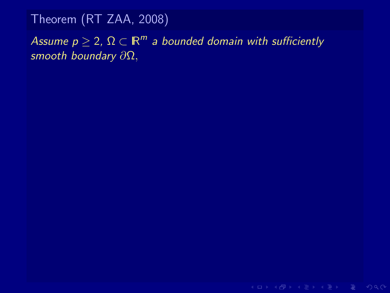## Assume  $p \geq 2$ ,  $\Omega \subset \mathbb{R}^m$  a bounded domain with sufficiently smooth boundary ∂Ω,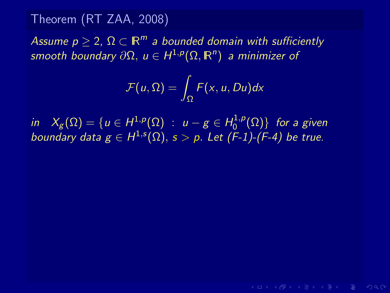Assume  $p \geq 2$ ,  $\Omega \subset \mathbb{R}^m$  a bounded domain with sufficiently smooth boundary  $\partial \Omega, \ u \in H^{1,p}(\Omega,\mathbb{R}^n)$  a minimizer of

$$
\mathcal{F}(u,\Omega)=\int_{\Omega}F(x,u,Du)dx
$$

in  $X_g(\Omega)=\{u\in H^{1,p}(\Omega)\;:\;u-g\in H^{1,p}_0\}$  $\{C^{1,p}(\Omega)\}$  for a given boundary data  $g \in H^{1,s}(\Omega), s > p$ . Let  $(F-1)$ - $(F-4)$  be true.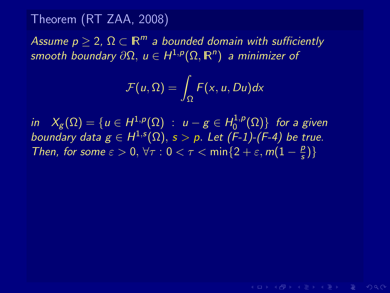Assume  $p \geq 2$ ,  $\Omega \subset \mathbb{R}^m$  a bounded domain with sufficiently smooth boundary  $\partial \Omega, \ u \in H^{1,p}(\Omega,\mathbb{R}^n)$  a minimizer of

$$
\mathcal{F}(u,\Omega)=\int_{\Omega}F(x,u,Du)dx
$$

**KOD KARD KED KED E YORA** 

in  $X_g(\Omega)=\{u\in H^{1,p}(\Omega)\;:\;u-g\in H^{1,p}_0\}$  $\{C^{1,p}(\Omega)\}$  for a given boundary data  $g \in H^{1,s}(\Omega), s > p$ . Let  $(F-1)$ - $(F-4)$  be true. Then, for some  $\varepsilon > 0$ ,  $\forall \tau : 0 < \tau < \min\{2 + \varepsilon, m(1 - \frac{\rho}{s})\}$  $\frac{p}{s})\}$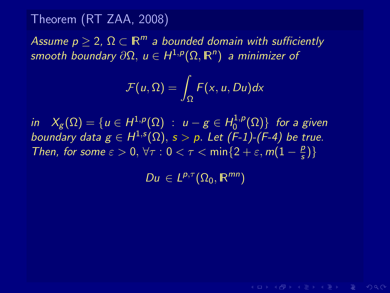Assume  $p \geq 2$ ,  $\Omega \subset \mathbb{R}^m$  a bounded domain with sufficiently smooth boundary  $\partial \Omega, \ u \in H^{1,p}(\Omega,\mathbb{R}^n)$  a minimizer of

$$
\mathcal{F}(u,\Omega)=\int_{\Omega}F(x,u,Du)dx
$$

in  $X_g(\Omega)=\{u\in H^{1,p}(\Omega)\;:\;u-g\in H^{1,p}_0\}$  $\{C^{1,p}(\Omega)\}$  for a given boundary data  $g \in H^{1,s}(\Omega), s > p$ . Let  $(F-1)$ - $(F-4)$  be true. Then, for some  $\varepsilon > 0$ ,  $\forall \tau : 0 < \tau < \min\{2 + \varepsilon, m(1 - \frac{\rho}{s})\}$  $\frac{p}{s})\}$ 

 $Du \in L^{p,\tau}(\Omega_0,\mathbb{R}^{mn})$ 

**KOD KARD KED KED E YORA**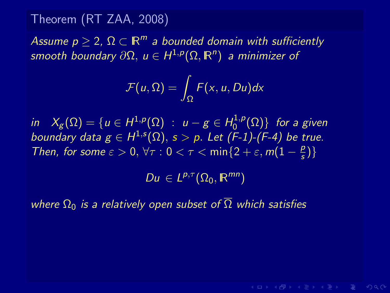Assume  $p \geq 2$ ,  $\Omega \subset \mathbb{R}^m$  a bounded domain with sufficiently smooth boundary  $\partial \Omega, \ u \in H^{1,p}(\Omega,\mathbb{R}^n)$  a minimizer of

$$
\mathcal{F}(u,\Omega)=\int_{\Omega}F(x,u,Du)dx
$$

in  $X_g(\Omega)=\{u\in H^{1,p}(\Omega)\;:\;u-g\in H^{1,p}_0\}$  $\{C^{1,p}(\Omega)\}$  for a given boundary data  $g \in H^{1,s}(\Omega), s > p$ . Let  $(F-1)$ - $(F-4)$  be true. Then, for some  $\varepsilon > 0$ ,  $\forall \tau : 0 < \tau < \min\{2 + \varepsilon, m(1 - \frac{\rho}{s})\}$  $\frac{p}{s})\}$ 

 $Du \in L^{p,\tau}(\Omega_0,\mathbb{R}^{mn})$ 

**KORKAR KERKER E VAN** 

where  $\Omega_0$  is a relatively open subset of  $\overline{\Omega}$  which satisfies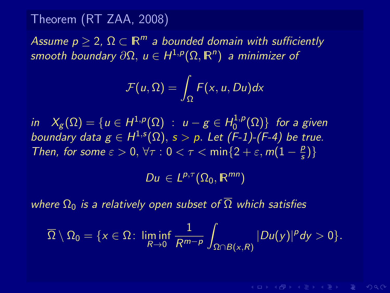Assume  $p \geq 2$ ,  $\Omega \subset \mathbb{R}^m$  a bounded domain with sufficiently smooth boundary  $\partial \Omega, \ u \in H^{1,p}(\Omega,\mathbb{R}^n)$  a minimizer of

$$
\mathcal{F}(u,\Omega)=\int_{\Omega}F(x,u,Du)dx
$$

in  $X_g(\Omega)=\{u\in H^{1,p}(\Omega)\;:\;u-g\in H^{1,p}_0\}$  $\{C^{1,p}(\Omega)\}$  for a given boundary data  $g \in H^{1,s}(\Omega), s > p$ . Let  $(F-1)$ - $(F-4)$  be true. Then, for some  $\varepsilon > 0$ ,  $\forall \tau : 0 < \tau < \min\{2 + \varepsilon, m(1 - \frac{\rho}{s})\}$  $\frac{p}{s})\}$ 

 $Du \in L^{p,\tau}(\Omega_0,\mathbb{R}^{mn})$ 

where  $\Omega_0$  is a relatively open subset of  $\overline{\Omega}$  which satisfies

$$
\overline{\Omega}\setminus \Omega_0=\{x\in \Omega\colon \liminf_{R\to 0}\frac{1}{R^{m-p}}\int_{\Omega\cap B(x,R)}|Du(y)|^p dy>0\}.
$$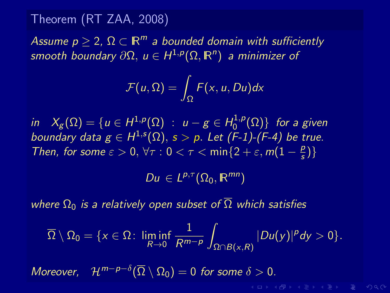Assume  $p \geq 2$ ,  $\Omega \subset \mathbb{R}^m$  a bounded domain with sufficiently smooth boundary  $\partial \Omega, \ u \in H^{1,p}(\Omega,\mathbb{R}^n)$  a minimizer of

$$
\mathcal{F}(u,\Omega)=\int_{\Omega}F(x,u,Du)dx
$$

in  $X_g(\Omega)=\{u\in H^{1,p}(\Omega)\;:\;u-g\in H^{1,p}_0\}$  $\{C^{1,p}(\Omega)\}$  for a given boundary data  $g \in H^{1,s}(\Omega), s > p$ . Let  $(F-1)$ - $(F-4)$  be true. Then, for some  $\varepsilon > 0$ ,  $\forall \tau : 0 < \tau < \min\{2 + \varepsilon, m(1 - \frac{\rho}{s})\}$  $\frac{p}{s})\}$ 

 $Du \in L^{p,\tau}(\Omega_0,\mathbb{R}^{mn})$ 

where  $\Omega_0$  is a relatively open subset of  $\overline{\Omega}$  which satisfies

$$
\overline{\Omega}\setminus \Omega_0=\{x\in \Omega\colon \liminf_{R\to 0}\frac{1}{R^{m-p}}\int_{\Omega\cap B(x,R)}|Du(y)|^p dy>0\}.
$$

Moreover,  $\mathcal{H}^{m-p-\delta}(\overline{\Omega}\setminus \Omega_0)=0$  for some  $\delta>0$ .

**KORKAR KERKER E VAN**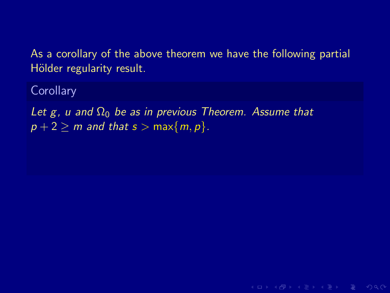**KORKAR KERKER E MAG** 

**Corollary** 

Let g, u and  $\Omega_0$  be as in previous Theorem. Assume that  $p + 2 \ge m$  and that  $s > \max\{m, p\}$ .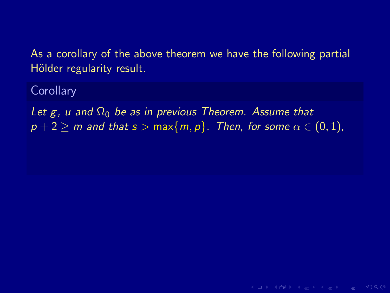**Corollary** 

Let g, u and  $\Omega_0$  be as in previous Theorem. Assume that  $p + 2 \ge m$  and that  $s > max\{m, p\}$ . Then, for some  $\alpha \in (0, 1)$ ,

**KO KARA KE KE KE KARA**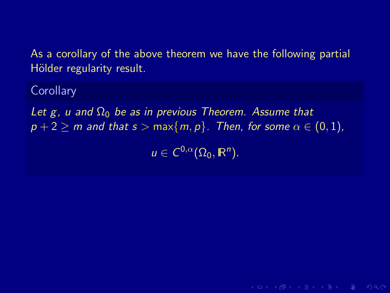**Corollary** 

Let g, u and  $\Omega_0$  be as in previous Theorem. Assume that  $p + 2 \ge m$  and that  $s > max\{m, p\}$ . Then, for some  $\alpha \in (0, 1)$ ,

 $u \in C^{0,\alpha}(\Omega_0,\mathbb{R}^n)$ .

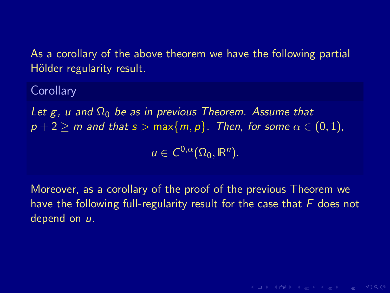**Corollary** 

Let g, u and  $\Omega_0$  be as in previous Theorem. Assume that  $p + 2 \ge m$  and that  $s > max\{m, p\}$ . Then, for some  $\alpha \in (0, 1)$ ,

 $u \in C^{0,\alpha}(\Omega_0,\mathbb{R}^n)$ .

Moreover, as a corollary of the proof of the previous Theorem we have the following full-regularity result for the case that  $F$  does not depend on  $u$ .

**KORKAR KERKER E MAG**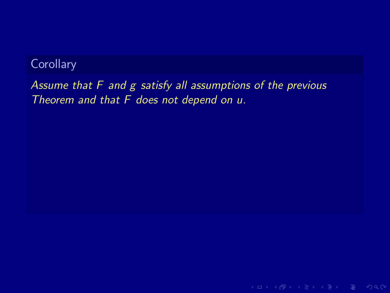Assume that F and g satisfy all assumptions of the previous Theorem and that F does not depend on u.

K ロ > K 레 > K 로 > K 로 > - 로 - K 9 Q Q +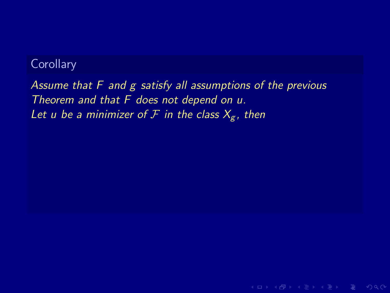Assume that F and g satisfy all assumptions of the previous Theorem and that F does not depend on u. Let u be a minimizer of F in the class  $X_g$ , then

**KO KARA KE KE KE KARA**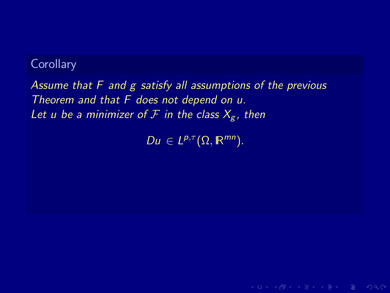Assume that F and g satisfy all assumptions of the previous Theorem and that F does not depend on u. Let u be a minimizer of F in the class  $X_g$ , then

 $Du \in L^{p,\tau}(\Omega,\mathbb{R}^{mn}).$ 

**KORKAR KERKER E MAG**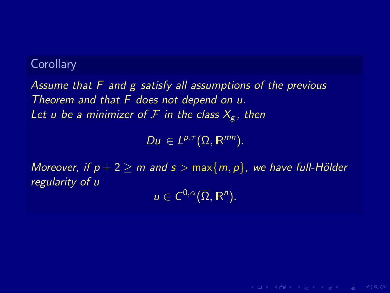Assume that F and g satisfy all assumptions of the previous Theorem and that F does not depend on u. Let u be a minimizer of  $\mathcal F$  in the class  $X_{\sigma}$ , then

 $Du \in L^{p,\tau}(\Omega,\mathbb{R}^{mn}).$ 

Moreover, if  $p + 2 \ge m$  and  $s > max\{m, p\}$ , we have full-Hölder regularity of u

 $u \in C^{0,\alpha}(\overline{\Omega},\mathbb{R}^n).$ 

 $A \cup B \cup A \cup B \cup A \subseteq B \cup A \subseteq B \cup B \cup B \cup B \cup A$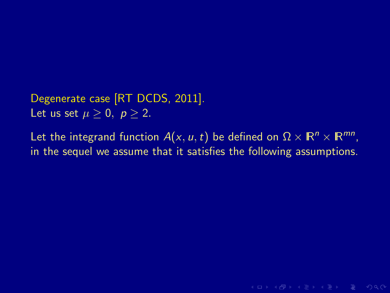Degenerate case [RT DCDS, 2011]. Let us set  $\mu \geq 0$ ,  $p \geq 2$ .

Let the integrand function  $A(x, u, t)$  be defined on  $\Omega \times \mathbb{R}^n \times \mathbb{R}^{mn}$ , in the sequel we assume that it satisfies the following assumptions.

**KORKAR KERKER E MAG**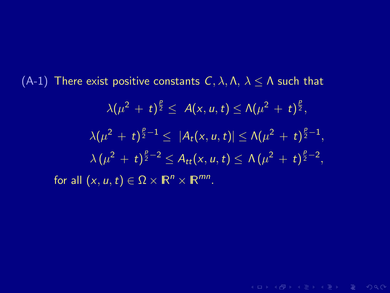(A-1) There exist positive constants  $C, \lambda, \Lambda, \lambda \leq \Lambda$  such that

$$
\lambda(\mu^{2} + t)^{\frac{p}{2}} \leq A(x, u, t) \leq \Lambda(\mu^{2} + t)^{\frac{p}{2}},
$$
  

$$
\lambda(\mu^{2} + t)^{\frac{p}{2} - 1} \leq |A_{t}(x, u, t)| \leq \Lambda(\mu^{2} + t)^{\frac{p}{2} - 1},
$$
  

$$
\lambda(\mu^{2} + t)^{\frac{p}{2} - 2} \leq A_{tt}(x, u, t) \leq \Lambda(\mu^{2} + t)^{\frac{p}{2} - 2},
$$
  
for all  $(x, u, t) \in \Omega \times \mathbb{R}^{n} \times \mathbb{R}^{mn}.$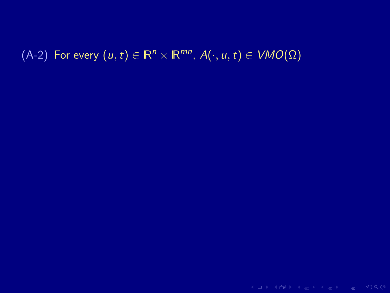# $(A-2)$  For every  $(u, t) \in \mathbb{R}^n \times \mathbb{R}^{mn}$ ,  $A(\cdot, u, t) \in VMO(\Omega)$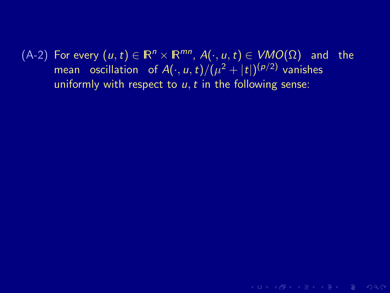$(A-2)$  For every  $(u, t) \in \mathbb{R}^n \times \mathbb{R}^{mn}$ ,  $A(\cdot, u, t) \in VMO(\Omega)$  and the mean oscillation of  $A(\cdot,u,t)/(\mu^2+|t|)^{(\rho/2)}$  vanishes uniformly with respect to  $u, t$  in the following sense:

**KEIK (FIX A EIK EIK) ROACH**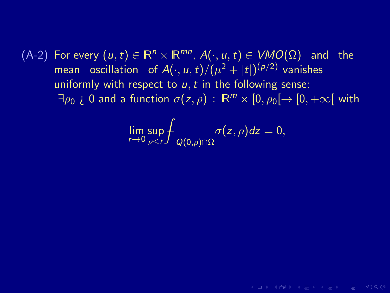$(A-2)$  For every  $(u, t) \in \mathbb{R}^n \times \mathbb{R}^{mn}$ ,  $A(\cdot, u, t) \in VMO(\Omega)$  and the mean oscillation of  $A(\cdot,u,t)/(\mu^2+|t|)^{(\rho/2)}$  vanishes uniformly with respect to  $u, t$  in the following sense:  $\exists \rho_0$  *i* 0 and a function  $\sigma(z, \rho)$  :  $\mathbb{R}^m \times [0, \rho_0] \rightarrow [0, +\infty]$  with

$$
\lim_{r\to 0}\sup_{\rho\leq r}\int_{Q(0,\rho)\cap\Omega}\sigma(z,\rho)dz=0,
$$

 $A \cup B \cup A \cup B \cup A \subseteq B \cup A \subseteq B \cup B \cup B \cup B \cup A$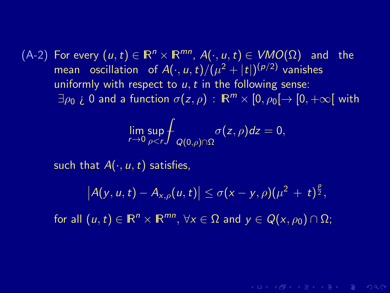$(A-2)$  For every  $(u, t) \in \mathbb{R}^n \times \mathbb{R}^{mn}$ ,  $A(\cdot, u, t) \in VMO(\Omega)$  and the mean oscillation of  $A(\cdot,u,t)/(\mu^2+|t|)^{(\rho/2)}$  vanishes uniformly with respect to  $u, t$  in the following sense:  $\exists \rho_0$  *i* 0 and a function  $\sigma(z, \rho)$  :  $\mathbb{R}^m \times [0, \rho_0] \rightarrow [0, +\infty]$  with

$$
\lim_{r\to 0}\sup_{\rho
$$

such that  $A(\cdot, u, t)$  satisfies,

$$
|A(y, u, t) - A_{x, \rho}(u, t)| \le \sigma(x - y, \rho)(\mu^2 + t)^{\frac{\rho}{2}},
$$

 $A \cup B \cup A \cup B \cup A \subseteq B \cup A \subseteq B \cup B \cup B \cup B \cup A$ 

for all  $(u, t) \in \mathbb{R}^n \times \mathbb{R}^{mn}$ ,  $\forall x \in \Omega$  and  $y \in Q(x, \rho_0) \cap \Omega$ ;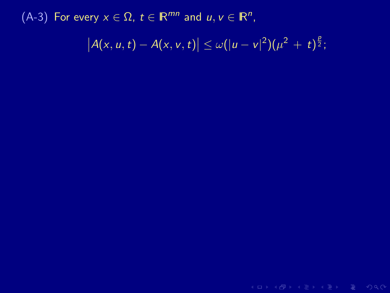**KID X 伊 X X ミ X X ミ X ミ X D X Q Q V**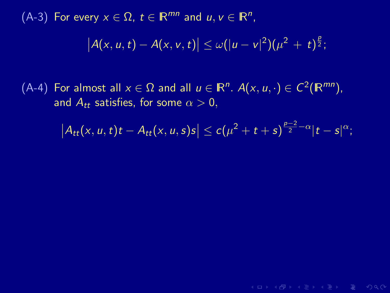(A-4) For almost all  $x \in \Omega$  and all  $u \in \mathbb{R}^n$ .  $A(x, u, \cdot) \in C^2(\mathbb{R}^{mn})$ , and  $A_{tt}$  satisfies, for some  $\alpha > 0$ ,

 $|A_{tt}(x, u, t)t - A_{tt}(x, u, s)s| \le c(\mu^2 + t + s)^{\frac{p-2}{2} - \alpha} |t - s|^{\alpha};$ 

**KO KARA KE KE KE KARA**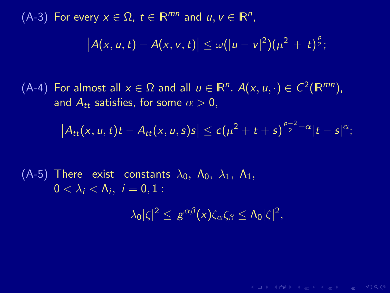(A-4) For almost all  $x \in \Omega$  and all  $u \in \mathbb{R}^n$ .  $A(x, u, \cdot) \in C^2(\mathbb{R}^{mn})$ , and  $A_{tt}$  satisfies, for some  $\alpha > 0$ ,

$$
\left|A_{tt}(x,u,t)t-A_{tt}(x,u,s)s\right|\leq c(\mu^2+t+s)^{\frac{p-2}{2}-\alpha}|t-s|^{\alpha};
$$

(A-5) There exist constants  $\lambda_0$ ,  $\Lambda_0$ ,  $\lambda_1$ ,  $\Lambda_1$ ,  $0<\lambda_i<\Lambda_i, i=0,1$ :

$$
\lambda_0|\zeta|^2 \leq g^{\alpha\beta}(x)\zeta_\alpha\zeta_\beta \leq \Lambda_0|\zeta|^2,
$$

 $A \cup B \cup A \cup B \cup A \subseteq B \cup A \subseteq B \cup B \cup B \cup B \cup A$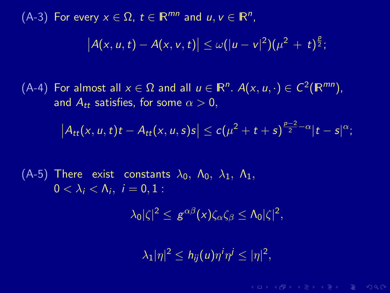(A-4) For almost all  $x \in \Omega$  and all  $u \in \mathbb{R}^n$ .  $A(x, u, \cdot) \in C^2(\mathbb{R}^{mn})$ , and  $A_{tt}$  satisfies, for some  $\alpha > 0$ ,

$$
\left|A_{tt}(x,u,t)t-A_{tt}(x,u,s)s\right|\leq c(\mu^2+t+s)^{\frac{p-2}{2}-\alpha}|t-s|^{\alpha};
$$

(A-5) There exist constants  $\lambda_0$ ,  $\Lambda_0$ ,  $\lambda_1$ ,  $\Lambda_1$ ,  $0<\lambda_i<\Lambda_i, i=0,1$ :

$$
\lambda_0|\zeta|^2\leq g^{\alpha\beta}(x)\zeta_\alpha\zeta_\beta\leq\Lambda_0|\zeta|^2,
$$

 $|\lambda_1|\eta|^2 \leq h_{ij}(u)\eta^i\eta^j \leq |\eta|^2,$ 

 $A \cup B \cup A \cup B \cup A \subseteq B \cup A \subseteq B \cup B \cup B \cup B \cup A$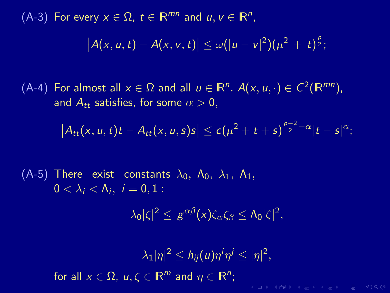(A-4) For almost all  $x \in \Omega$  and all  $u \in \mathbb{R}^n$ .  $A(x, u, \cdot) \in C^2(\mathbb{R}^{mn})$ , and  $A_{tt}$  satisfies, for some  $\alpha > 0$ ,

$$
\left|A_{tt}(x,u,t)t-A_{tt}(x,u,s)s\right|\leq c(\mu^2+t+s)^{\frac{p-2}{2}-\alpha}|t-s|^{\alpha};
$$

(A-5) There exist constants  $\lambda_0$ ,  $\Lambda_0$ ,  $\lambda_1$ ,  $\Lambda_1$ ,  $0<\lambda_i<\Lambda_i, i=0,1$ :

$$
\lambda_0|\zeta|^2\leq g^{\alpha\beta}(x)\zeta_\alpha\zeta_\beta\leq\Lambda_0|\zeta|^2,
$$

 $|\lambda_1|\eta|^2 \leq h_{ij}(u)\eta^i\eta^j \leq |\eta|^2,$ for all  $x \in \Omega$ ,  $u, \zeta \in \mathbb{R}^m$  and  $\eta \in \mathbb{R}^n$ ; **KOD KARD KED KED E YORA**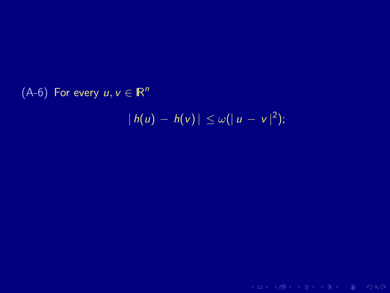# (A-6) For every  $u, v \in \mathbb{R}^n$

$$
|h(u) - h(v)| \leq \omega(|u - v|^2);
$$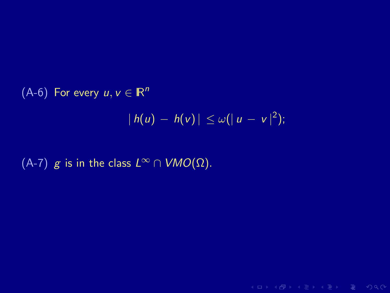(A-6) For every  $u, v \in \mathbb{R}^n$  $|h(u) - h(v)| \leq \omega(|u - v|^2);$ 

(A-7) g is in the class  $L^{\infty} \cap VMO(\Omega)$ .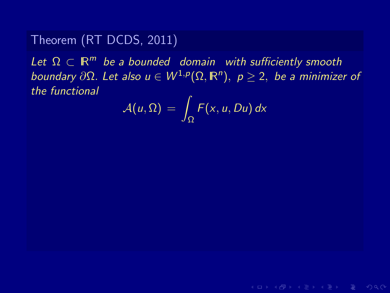Let  $\Omega \subset \mathbb{R}^m$  be a bounded domain with sufficiently smooth boundary ∂ $\Omega$ . Let also  $u \in W^{1,p}(\Omega,\mathbb{R}^n),\; p\geq 2,\;$  be a minimizer of the functional

$$
\mathcal{A}(u,\Omega) = \int_{\Omega} F(x,u,Du) \, dx
$$

 $A \cup B \cup A \cup B \cup A \subseteq B \cup A \subseteq B \cup B \cup B \cup B \cup A$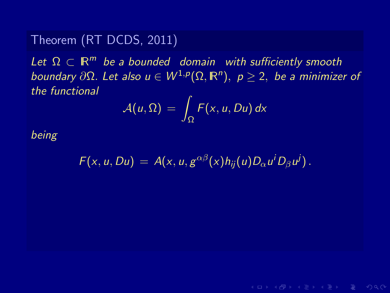Let  $\Omega \subset \mathbb{R}^m$  be a bounded domain with sufficiently smooth boundary ∂ $\Omega$ . Let also  $u \in W^{1,p}(\Omega,\mathbb{R}^n),\; p\geq 2,\;$  be a minimizer of the functional

$$
\mathcal{A}(u,\Omega) = \int_{\Omega} F(x,u,Du) \, dx
$$

being

$$
F(x, u, Du) = A(x, u, g^{\alpha\beta}(x)h_{ij}(u)D_{\alpha}u^{i}D_{\beta}u^{j}).
$$

 $A \cup B \cup A \cup B \cup A \subseteq B \cup A \subseteq B \cup B \cup B \cup B \cup A$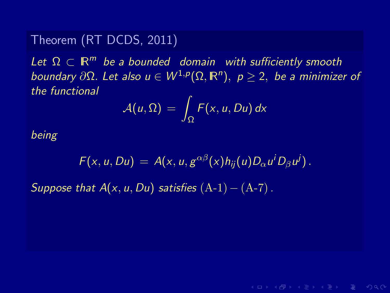Let  $\Omega \subset \mathbb{R}^m$  be a bounded domain with sufficiently smooth boundary ∂ $\Omega$ . Let also  $u \in W^{1,p}(\Omega,\mathbb{R}^n),\; p\geq 2,\;$  be a minimizer of the functional

$$
\mathcal{A}(u,\Omega) = \int_{\Omega} F(x,u,Du) \, dx
$$

being

$$
F(x, u, Du) = A(x, u, g^{\alpha\beta}(x)h_{ij}(u)D_{\alpha}u^{i}D_{\beta}u^{j}).
$$

Suppose that  $A(x, u, Du)$  satisfies  $(A-1) - (A-7)$ .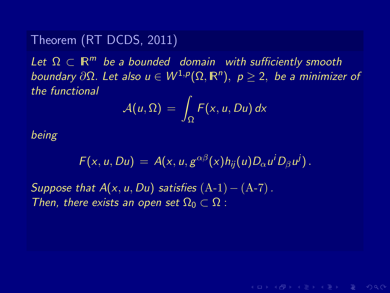Let  $\Omega \subset \mathbb{R}^m$  be a bounded domain with sufficiently smooth boundary ∂ $\Omega$ . Let also  $u \in W^{1,p}(\Omega,\mathbb{R}^n),\; p\geq 2,\;$  be a minimizer of the functional

$$
\mathcal{A}(u,\Omega) = \int_{\Omega} F(x,u,Du) \, dx
$$

being

$$
F(x, u, Du) = A(x, u, g^{\alpha\beta}(x)h_{ij}(u)D_{\alpha}u^{i}D_{\beta}u^{j}).
$$

Suppose that  $A(x, u, Du)$  satisfies  $(A-1) - (A-7)$ . Then, there exists an open set  $\Omega_0 \subset \Omega$ :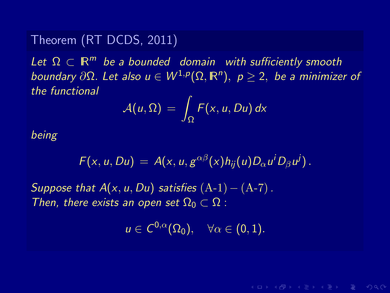Let  $\Omega \subset \mathbb{R}^m$  be a bounded domain with sufficiently smooth boundary ∂ $\Omega$ . Let also  $u \in W^{1,p}(\Omega,\mathbb{R}^n),\; p\geq 2,\;$  be a minimizer of the functional

$$
\mathcal{A}(u,\Omega) = \int_{\Omega} F(x,u,Du) \, dx
$$

being

$$
F(x, u, Du) = A(x, u, g^{\alpha\beta}(x)h_{ij}(u)D_{\alpha}u^{i}D_{\beta}u^{j}).
$$

Suppose that  $A(x, u, Du)$  satisfies  $(A-1) - (A-7)$ . Then, there exists an open set  $\Omega_0 \subset \Omega$ :

$$
u\in C^{0,\alpha}(\Omega_0),\quad \forall \alpha\in(0,1).
$$

 $A \cup B \cup A \cup B \cup A \subseteq B \cup A \subseteq B \cup B \cup B \cup B \cup A$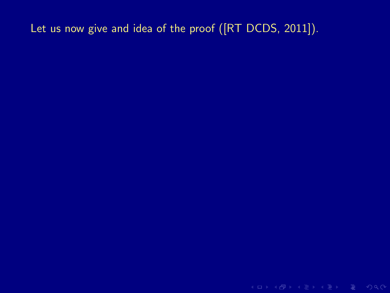# Let us now give and idea of the proof ([RT DCDS, 2011]).

K ロ > K @ > K 로 > K 로 > E = Y Q Q O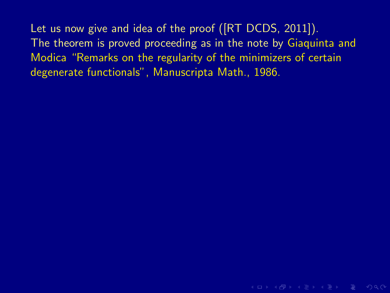Let us now give and idea of the proof ([RT DCDS, 2011]). The theorem is proved proceeding as in the note by Giaquinta and Modica "Remarks on the regularity of the minimizers of certain degenerate functionals", Manuscripta Math., 1986.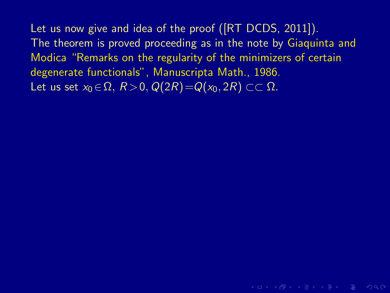Let us now give and idea of the proof ([RT DCDS, 2011]). The theorem is proved proceeding as in the note by Giaquinta and Modica "Remarks on the regularity of the minimizers of certain degenerate functionals", Manuscripta Math., 1986. Let us set  $x_0 \in \Omega$ ,  $R > 0$ ,  $Q(2R) = Q(x_0, 2R) \subset \Omega$ .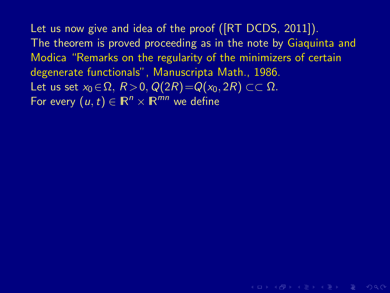Let us now give and idea of the proof ([RT DCDS, 2011]). The theorem is proved proceeding as in the note by Giaquinta and Modica "Remarks on the regularity of the minimizers of certain degenerate functionals", Manuscripta Math., 1986. Let us set  $x_0 \in \Omega$ ,  $R > 0$ ,  $Q(2R) = Q(x_0, 2R) \subset \Omega$ . For every  $(u, t) \in \mathbb{R}^n \times \mathbb{R}^{mn}$  we define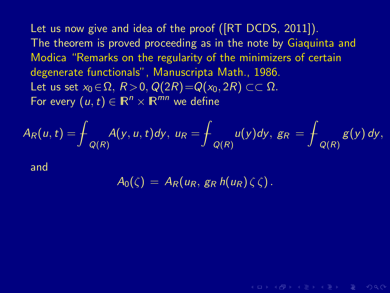Let us now give and idea of the proof ([RT DCDS, 2011]). The theorem is proved proceeding as in the note by Giaquinta and Modica "Remarks on the regularity of the minimizers of certain degenerate functionals", Manuscripta Math., 1986. Let us set  $x_0 \in \Omega$ ,  $R > 0$ ,  $Q(2R) = Q(x_0, 2R) \subset \Omega$ . For every  $(u, t) \in \mathbb{R}^n \times \mathbb{R}^{mn}$  we define

$$
A_R(u,t)=\frac{1}{\int_{Q(R)}A(y,u,t)dy},\ u_R=\frac{1}{\int_{Q(R)}u(y)dy},\ g_R=\frac{1}{\int_{Q(R)}g(y)dy},
$$

and

$$
A_0(\zeta) = A_R(u_R, g_R h(u_R) \zeta \zeta).
$$

**KO KARA KE KE KE KARA**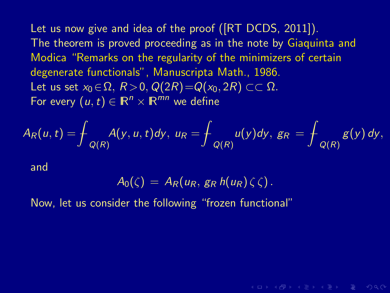Let us now give and idea of the proof ([RT DCDS, 2011]). The theorem is proved proceeding as in the note by Giaquinta and Modica "Remarks on the regularity of the minimizers of certain degenerate functionals", Manuscripta Math., 1986. Let us set  $x_0 \in \Omega$ ,  $R > 0$ ,  $Q(2R) = Q(x_0, 2R) \subset \Omega$ . For every  $(u, t) \in \mathbb{R}^n \times \mathbb{R}^{mn}$  we define

$$
A_R(u,t)=\frac{1}{\int_{Q(R)}A(y,u,t)dy},\ u_R=\frac{1}{\int_{Q(R)}u(y)dy},\ g_R=\frac{1}{\int_{Q(R)}g(y)dy},
$$

and

$$
A_0(\zeta) = A_R(u_R, g_R h(u_R) \zeta \zeta).
$$

 $A \cup B \cup A \cup B \cup A \subseteq B \cup A \subseteq B \cup B \cup B \cup B \cup A$ 

Now, let us consider the following "frozen functional"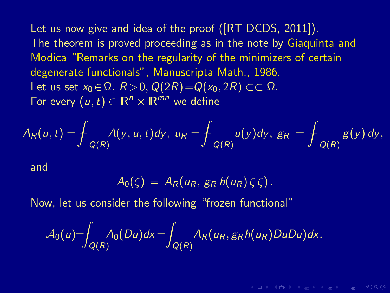Let us now give and idea of the proof ([RT DCDS, 2011]). The theorem is proved proceeding as in the note by Giaquinta and Modica "Remarks on the regularity of the minimizers of certain degenerate functionals", Manuscripta Math., 1986. Let us set  $x_0 \in \Omega$ ,  $R > 0$ ,  $Q(2R) = Q(x_0, 2R) \subset \Omega$ . For every  $(u,t) \in \mathbb{R}^n \times \mathbb{R}^{mn}$  we define

$$
A_R(u,t)=\frac{1}{\int_{Q(R)}A(y,u,t)dy},\ u_R=\frac{1}{\int_{Q(R)}u(y)dy},\ g_R=\frac{1}{\int_{Q(R)}g(y)dy},
$$

and

$$
A_0(\zeta) = A_R(u_R, g_R h(u_R) \zeta \zeta).
$$

**KOD KARD KED KED E YORA** 

Now, let us consider the following "frozen functional"

$$
\mathcal{A}_0(u)=\int_{Q(R)} A_0(Du)dx = \int_{Q(R)} A_R(u_R,g_Rh(u_R)DuDu)dx.
$$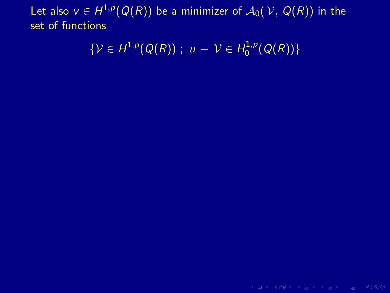$$
\{\mathcal{V}\in H^{1,p}(Q(R))\; ; \; u-\mathcal{V}\in H^{1,p}_0(Q(R))\}
$$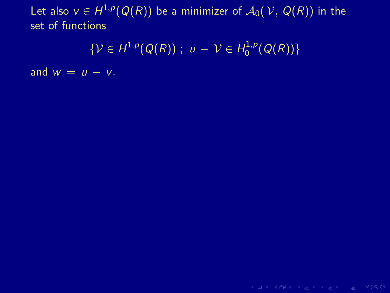$$
\{\mathcal{V}\in H^{1,p}(Q(R))\; ; \; u-\mathcal{V}\in H^{1,p}_0(Q(R))\}
$$

and  $w = u - v$ .

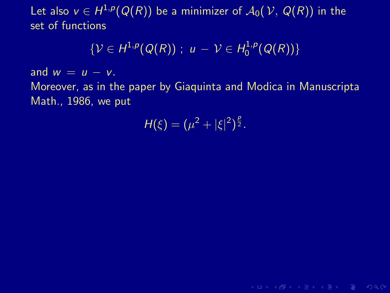$$
\{\mathcal{V}\in H^{1,p}(Q(R))\; ; \; u-\mathcal{V}\in H^{1,p}_0(Q(R))\}
$$

and  $w = u - v$ .

Moreover, as in the paper by Giaquinta and Modica in Manuscripta Math., 1986, we put

$$
H(\xi)=(\mu^2+|\xi|^2)^{\frac{p}{2}}.
$$

K ロ > K 레 > K 로 > K 로 > 다로 > O Q @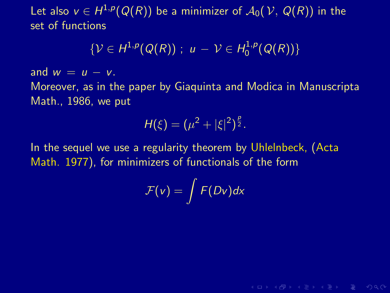$$
\{\mathcal{V}\in H^{1,p}(Q(R))\; ; \; u-\mathcal{V}\in H^{1,p}_0(Q(R))\}
$$

and  $w = u - v$ .

Moreover, as in the paper by Giaquinta and Modica in Manuscripta Math., 1986, we put

$$
H(\xi)=(\mu^2+|\xi|^2)^{\frac{p}{2}}.
$$

In the sequel we use a regularity theorem by Uhlelnbeck, (Acta Math. 1977), for minimizers of functionals of the form

$$
\mathcal{F}(v) = \int F(Dv) dx
$$

**KOD KARD KED KED E VOQO**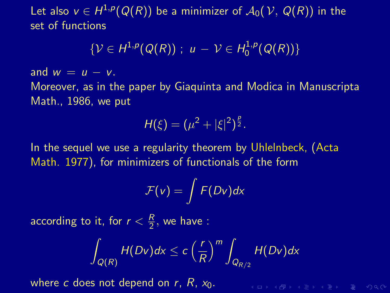$$
\{\mathcal{V}\in H^{1,p}(Q(R))\; ; \; u-\mathcal{V}\in H^{1,p}_0(Q(R))\}
$$

and  $w = u - v$ .

Moreover, as in the paper by Giaquinta and Modica in Manuscripta Math., 1986, we put

$$
H(\xi) = (\mu^2 + |\xi|^2)^{\frac{p}{2}}.
$$

In the sequel we use a regularity theorem by Uhlelnbeck, (Acta Math. 1977), for minimizers of functionals of the form

$$
\mathcal{F}(v)=\int F(Dv)dx
$$

according to it, for  $r<\frac{R}{2}$  $\frac{\pi}{2}$ , we have :

$$
\int_{Q(R)} H(Dv)dx \leq c\left(\frac{r}{R}\right)^m \int_{Q_{R/2}} H(Dv)dx
$$

K ロ X K 마 X X E X X E X X D X X X X E X X O X C

where c does not depend on  $r$ ,  $R$ ,  $x_0$ .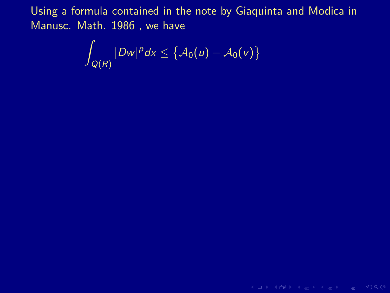$$
\int_{Q(R)} |Dw|^p dx \leq \big\{ \mathcal{A}_0(u) - \mathcal{A}_0(v) \big\}
$$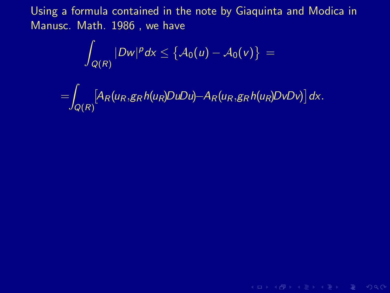$$
\int_{Q(R)}|Dw|^p dx \leq \big\{ \mathcal{A}_0(u) - \mathcal{A}_0(v) \big\} \, = \,
$$

$$
=\int_{Q(R)}[A_R(u_R,g_Rh(u_R)DuDu)-A_R(u_R,g_Rh(u_R)DvDv)]dx.
$$

**KID X 伊 X X ミ X X ミ X ミ X D X Q Q V**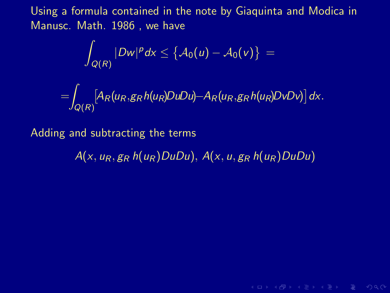$$
\int_{Q(R)}|Dw|^p\,dx\leq \big\{\mathcal{A}_0(u)-\mathcal{A}_0(v)\big\}=
$$

$$
=\int_{Q(R)}[A_R(u_R,g_Rh(u_R)DuDu)-A_R(u_R,g_Rh(u_R)DvDv)]dx.
$$

Adding and subtracting the terms

 $A(x, u_R, g_R h(u_R)DuDu)$ ,  $A(x, u, g_R h(u_R)DuDu)$ 

K ロ > K 레 > K 로 > K 로 > 다로 > O Q @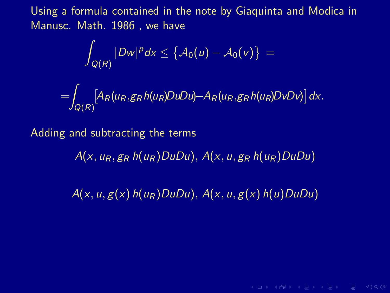$$
\int_{Q(R)}|Dw|^p\,dx\leq \big\{A_0(u)-A_0(v)\big\}=
$$

$$
=\int_{Q(R)}[A_R(u_R,g_Rh(u_R)DuDu)-A_R(u_R,g_Rh(u_R)DvDv)]dx.
$$

Adding and subtracting the terms

 $A(x, u_R, g_R h(u_R)DuDu)$ ,  $A(x, u, g_R h(u_R)DuDu)$ 

 $A(x, u, g(x) h(u_R)DuDu)$ ,  $A(x, u, g(x) h(u)DuDu)$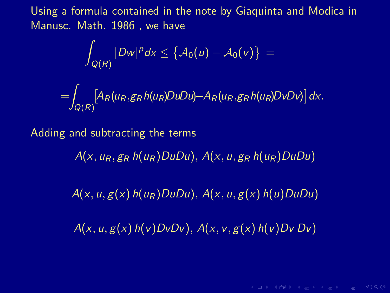$$
\int_{Q(R)}|Dw|^p\,dx\leq \left\{\mathcal{A}_0(u)-\mathcal{A}_0(v)\right\}=
$$

$$
=\int_{Q(R)}[A_R(u_R,g_Rh(u_R)DuDu)-A_R(u_R,g_Rh(u_R)DvDv)]dx.
$$

Adding and subtracting the terms

 $A(x, u_R, g_R h(u_R)DuDu)$ ,  $A(x, u, g_R h(u_R)DuDu)$ 

 $A(x, u, g(x) h(u_R)DuDu)$ ,  $A(x, u, g(x) h(u)DuDu)$ 

 $A(x, u, g(x) h(v)DvDv)$ ,  $A(x, v, g(x) h(v)DvDv)$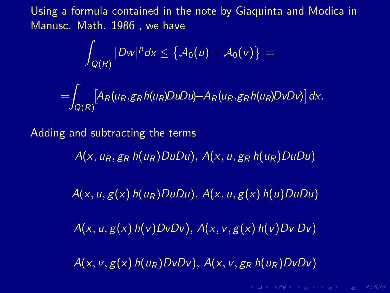$$
\int_{Q(R)}|Dw|^p\,dx\leq \left\{\mathcal{A}_0(u)-\mathcal{A}_0(v)\right\}=
$$

$$
=\int_{Q(R)}[A_R(u_R,g_Rh(u_R)DuDu)-A_R(u_R,g_Rh(u_R)DvDv)]dx.
$$

Adding and subtracting the terms

 $A(x, u_R, g_R h(u_R)DuDu)$ ,  $A(x, u, g_R h(u_R)DuDu)$ 

 $A(x, u, g(x) h(u_R)DuDu)$ ,  $A(x, u, g(x) h(u)DuDu)$ 

 $A(x, u, g(x) h(v)DvDv)$ ,  $A(x, v, g(x) h(v)DvDv)$ 

 $A(x, v, g(x)$  $h(u_R)DvDv)$ ,  $A(x, v, g_R$  $h(u_R)DvDv)$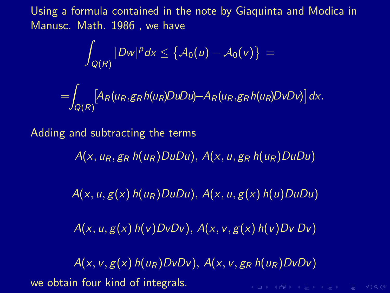$$
\int_{Q(R)}|Dw|^p\,dx\leq \left\{\mathcal{A}_0(u)-\mathcal{A}_0(v)\right\}=
$$

$$
=\int_{Q(R)}[A_R(u_R,g_Rh(u_R)DuDu)-A_R(u_R,g_Rh(u_R)DvDv)]dx.
$$

Adding and subtracting the terms

 $A(x, u_R, g_R h(u_R)DuDu)$ ,  $A(x, u, g_R h(u_R)DuDu)$ 

 $A(x, u, g(x) h(u_R)DuDu)$ ,  $A(x, u, g(x) h(u)DuDu)$ 

 $A(x, u, g(x) h(v)DvDv)$ ,  $A(x, v, g(x) h(v)DvDv)$ 

 $A(x, v, g(x)$  $h(u_R)DvDv)$ ,  $A(x, v, g_R$  $h(u_R)DvDv)$ we obtain four kind of integrals.K ロ > K 레 > K 로 > K 로 > 트로 → 9 Q Q +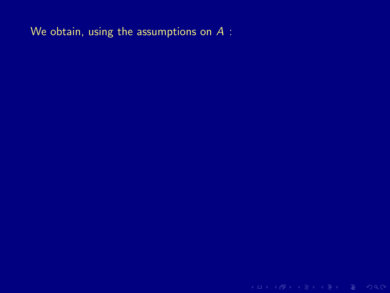We obtain, using the assumptions on A :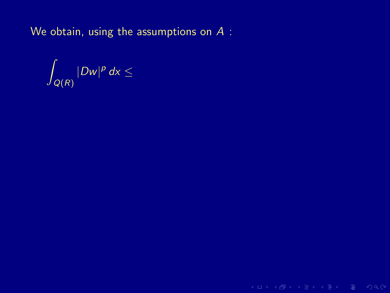We obtain, using the assumptions on A :

Z  $Q(R)$  $|Dw|^p dx \leq$ 

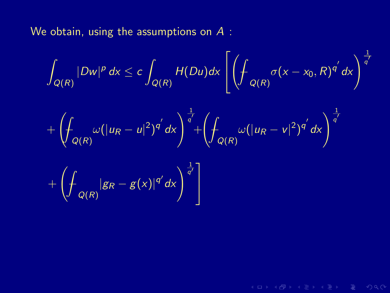We obtain, using the assumptions on A :

$$
\int_{Q(R)} |Dw|^p \, dx \leq c \int_{Q(R)} H(Du) dx \left[ \left( \int_{Q(R)} \sigma(x - x_0, R)^{q'} \, dx \right)^{\frac{1}{q'}} \right]
$$

$$
+ \left( \int_{Q(R)} \omega (|u_R - u|^2)^{q'} dx \right)^{\frac{1}{q'}} + \left( \int_{Q(R)} \omega (|u_R - v|^2)^{q'} dx \right)^{\frac{1}{q'}}
$$

$$
+\left(\int_{Q(R)}|g_R-g(x)|^{q'}dx\right)^{\frac{1}{q'}}\Bigg]
$$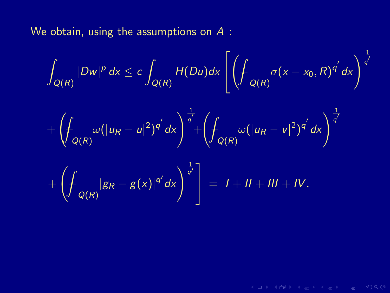We obtain, using the assumptions on A :

$$
\int_{Q(R)} |Dw|^p dx \le c \int_{Q(R)} H(Du) dx \left[ \left( \int_{Q(R)} \sigma(x - x_0, R)^{q'} dx \right)^{\frac{1}{q'}} \right]
$$

$$
+ \left( \int_{Q(R)} \omega (|u_R - u|^2)^{q'} dx \right)^{\frac{1}{q'}} + \left( \int_{Q(R)} \omega (|u_R - v|^2)^{q'} dx \right)^{\frac{1}{q'}}
$$

$$
+\left(\int_{Q(R)}|g_R-g(x)|^{q'}dx\right)^{\frac{1}{q'}}\bigg]=I+II+III+IV.
$$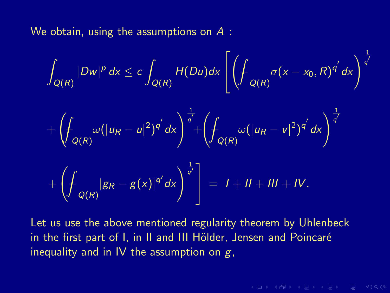We obtain, using the assumptions on  $A$ :

$$
\int_{Q(R)} |Dw|^p dx \le c \int_{Q(R)} H(Du) dx \left[ \left( \int_{Q(R)} \sigma(x - x_0, R)^{q'} dx \right)^{\frac{1}{q'}} + \left( \int_{Q(R)} \omega (|u_R - u|^2)^{q'} dx \right)^{\frac{1}{q'}} + \left( \int_{Q(R)} \omega (|u_R - v|^2)^{q'} dx \right)^{\frac{1}{q'}} + \left( \int_{Q(R)} |g_R - g(x)|^{q'} dx \right)^{\frac{1}{q'}} \right] = I + II + III + IV.
$$

Let us use the above mentioned regularity theorem by Uhlenbeck in the first part of I, in II and III Hölder, Jensen and Poincaré inequality and in IV the assumption on  $g$ ,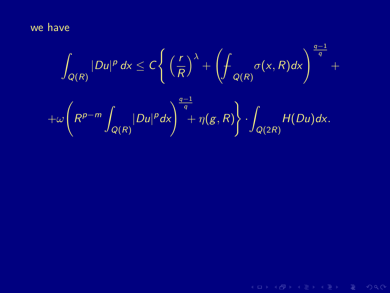we have

$$
\int_{Q(R)} |Du|^p dx \leq C \left\{ \left( \frac{r}{R} \right)^{\lambda} + \left( \int_{Q(R)} \sigma(x, R) dx \right)^{\frac{q-1}{q}} + \right.
$$
  
+
$$
\omega \left( R^{p-m} \int_{Q(R)} |Du|^p dx \right)^{\frac{q-1}{q}} + \eta(g, R) \left\} \cdot \int_{Q(2R)} H(Du) dx.
$$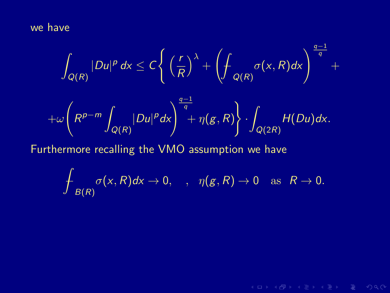we have

$$
\int_{Q(R)} |Du|^p dx \le C \left\{ \left(\frac{r}{R}\right)^{\lambda} + \left(\int_{Q(R)} \sigma(x, R) dx\right)^{\frac{q-1}{q}} + \omega \left(R^{p-m} \int_{Q(R)} |Du|^p dx\right)^{\frac{q-1}{q}} + \eta(g, R) \right\} \cdot \int_{Q(2R)} H(Du) dx.
$$
  
Furthermore recalling the VMO assumption we have

$$
\mathop{\,\rlap{-}\!\!\int}\nolimits_{B(R)} \sigma(x,R) dx \to 0, \quad , \quad \eta(g,R) \to 0 \quad \text{as} \quad R \to 0.
$$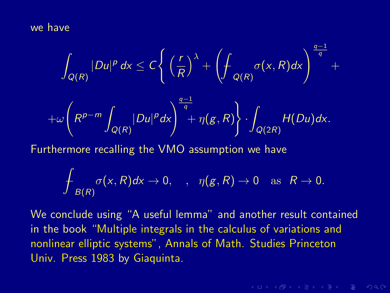we have

$$
\int_{Q(R)} |Du|^p dx \le C \left\{ \left(\frac{r}{R}\right)^{\lambda} + \left(\int_{Q(R)} \sigma(x, R) dx \right)^{\frac{q-1}{q}} + \right.
$$
  
+
$$
\omega \left(R^{p-m} \int_{Q(R)} |Du|^p dx \right)^{\frac{q-1}{q}} + \eta(g, R) \left\} \cdot \int_{Q(2R)} H(Du) dx.
$$
  
Furthermore recalling the VMO assumption we have

$$
\mathop{\rlap{\hskip2.5pt---}\int}\nolimits_{B(R)}\sigma(x,R)dx\rightarrow 0,\quad,\quad \eta(g,R)\rightarrow 0\quad\text{as}\quad R\rightarrow 0.
$$

We conclude using "A useful lemma" and another result contained in the book "Multiple integrals in the calculus of variations and nonlinear elliptic systems", Annals of Math. Studies Princeton Univ. Press 1983 by Giaquinta.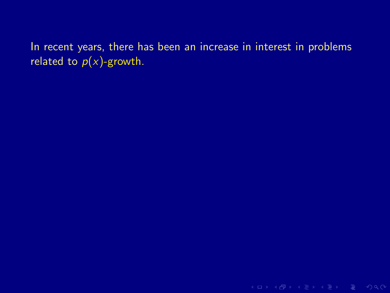In recent years, there has been an increase in interest in problems related to  $p(x)$ -growth.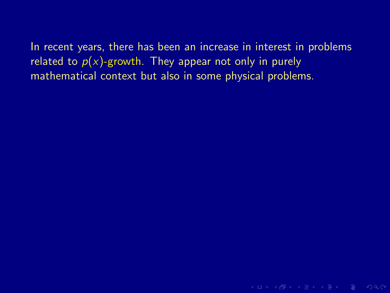In recent years, there has been an increase in interest in problems related to  $p(x)$ -growth. They appear not only in purely mathematical context but also in some physical problems.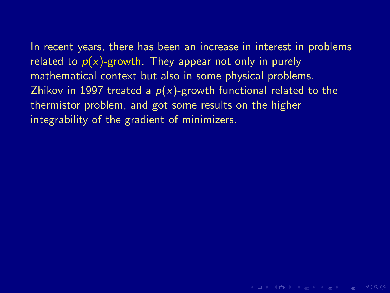In recent years, there has been an increase in interest in problems related to  $p(x)$ -growth. They appear not only in purely mathematical context but also in some physical problems. Zhikov in 1997 treated a  $p(x)$ -growth functional related to the thermistor problem, and got some results on the higher integrability of the gradient of minimizers.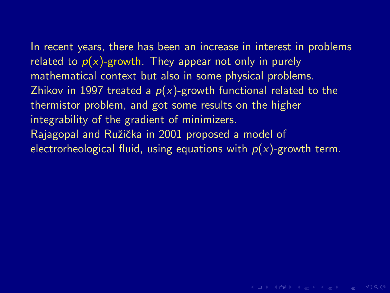In recent years, there has been an increase in interest in problems related to  $p(x)$ -growth. They appear not only in purely mathematical context but also in some physical problems. Zhikov in 1997 treated a  $p(x)$ -growth functional related to the thermistor problem, and got some results on the higher integrability of the gradient of minimizers. Rajagopal and Ružička in 2001 proposed a model of electrorheological fluid, using equations with  $p(x)$ -growth term.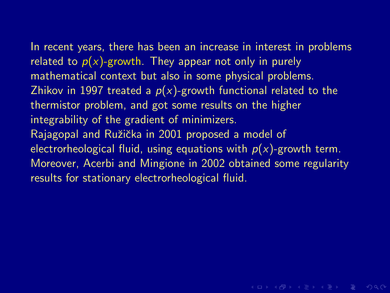In recent years, there has been an increase in interest in problems related to  $p(x)$ -growth. They appear not only in purely mathematical context but also in some physical problems. Zhikov in 1997 treated a  $p(x)$ -growth functional related to the thermistor problem, and got some results on the higher integrability of the gradient of minimizers. Rajagopal and Ružička in 2001 proposed a model of electrorheological fluid, using equations with  $p(x)$ -growth term. Moreover, Acerbi and Mingione in 2002 obtained some regularity results for stationary electrorheological fluid.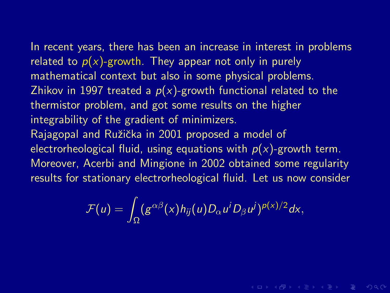In recent years, there has been an increase in interest in problems related to  $p(x)$ -growth. They appear not only in purely mathematical context but also in some physical problems. Zhikov in 1997 treated a  $p(x)$ -growth functional related to the thermistor problem, and got some results on the higher integrability of the gradient of minimizers. Rajagopal and Ružička in 2001 proposed a model of electrorheological fluid, using equations with  $p(x)$ -growth term. Moreover, Acerbi and Mingione in 2002 obtained some regularity results for stationary electrorheological fluid. Let us now consider

$$
\mathcal{F}(u)=\int_{\Omega}(g^{\alpha\beta}(x)h_{ij}(u)D_{\alpha}u^{i}D_{\beta}u^{j})^{p(x)/2}dx,
$$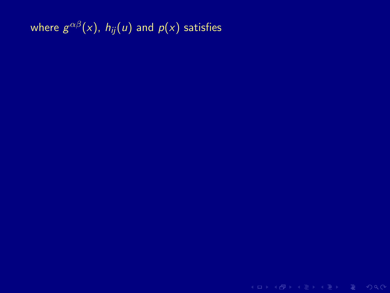where  $g^{\alpha\beta}(\mathsf{x})$ ,  $h_{ij}(u)$  and  $p(\mathsf{x})$  satisfies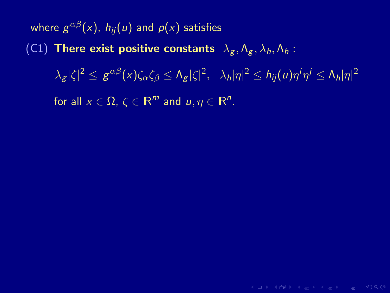where  $g^{\alpha\beta}(\mathsf{x})$ ,  $h_{ij}(u)$  and  $p(\mathsf{x})$  satisfies (C1) There exist positive constants  $\lambda_g$ ,  $\Lambda_g$ ,  $\lambda_h$ ,  $\Lambda_h$ :  $|\lambda_{\mathcal{\mathcal{S}}}|\zeta|^{2} \leq \, \mathcal{g}^{\alpha\beta}(x)\zeta_{\alpha}\zeta_{\beta} \leq \Lambda_{\mathcal{\mathcal{S}}}|\zeta|^{2},\;\;\lambda_{h}|\eta|^{2} \leq h_{ij}(u)\eta^{i}\eta^{j} \leq \Lambda_{h}|\eta|^{2}.$ for all  $x \in \Omega$ ,  $\zeta \in \mathbb{R}^m$  and  $u, \eta \in \mathbb{R}^n$ .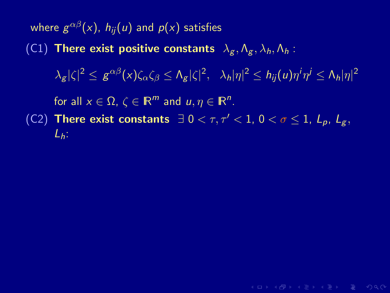where  $g^{\alpha\beta}(\mathsf{x})$ ,  $h_{ij}(u)$  and  $p(\mathsf{x})$  satisfies (C1) There exist positive constants  $\lambda_g$ ,  $\Lambda_g$ ,  $\lambda_h$ ,  $\Lambda_h$  :  $|\lambda_{\mathcal{\mathcal{S}}}|\zeta|^{2} \leq \, \mathcal{g}^{\alpha\beta}(x)\zeta_{\alpha}\zeta_{\beta} \leq \Lambda_{\mathcal{\mathcal{S}}}|\zeta|^{2},\;\;\lambda_{h}|\eta|^{2} \leq h_{ij}(u)\eta^{i}\eta^{j} \leq \Lambda_{h}|\eta|^{2}.$ for all  $x \in \Omega$ ,  $\zeta \in \mathbb{R}^m$  and  $u, \eta \in \mathbb{R}^n$ . (C2) There exist constants  $\exists$  0 <  $\tau$ ,  $\tau'$  < 1, 0 <  $\sigma$  < 1,  $L_p$ ,  $L_q$ ,  $L_h$ :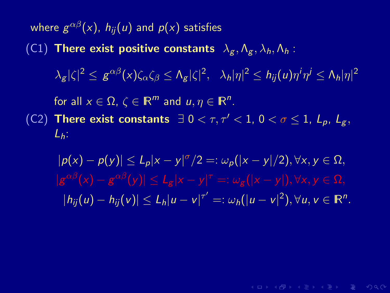where  $g^{\alpha\beta}(\mathsf{x})$ ,  $h_{ij}(u)$  and  $p(\mathsf{x})$  satisfies (C1) There exist positive constants  $\lambda_g$ ,  $\Lambda_g$ ,  $\lambda_h$ ,  $\Lambda_h$  :  $|\lambda_{\mathcal{\mathcal{S}}}|\zeta|^{2} \leq \, \mathcal{g}^{\alpha\beta}(x)\zeta_{\alpha}\zeta_{\beta} \leq \Lambda_{\mathcal{\mathcal{S}}}|\zeta|^{2},\;\;\lambda_{h}|\eta|^{2} \leq h_{ij}(u)\eta^{i}\eta^{j} \leq \Lambda_{h}|\eta|^{2}.$ for all  $x \in \Omega$ ,  $\zeta \in \mathbb{R}^m$  and  $u, \eta \in \mathbb{R}^n$ . (C2) There exist constants  $\exists$  0 <  $\tau$ ,  $\tau'$  < 1, 0 <  $\sigma \leq 1$ ,  $L_p$ ,  $L_q$ ,  $L_h$ :

 $|p(x) - p(y)| \le L_p |x - y|^\sigma / 2 =: \omega_p(|x - y|/2), \forall x, y \in \Omega,$  $|h_{ij}(u) - h_{ij}(v)| \le L_h |u - v|^{\tau'} =: \omega_h (|u - v|^2), \forall u, v \in \mathbb{R}^n.$ 

 $A \cup B \cup A \cup B \cup A \subseteq B \cup A \subseteq B \cup B \cup B \cup B \cup A$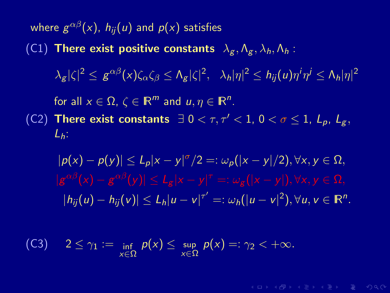where  $g^{\alpha\beta}(\mathsf{x})$ ,  $h_{ij}(u)$  and  $p(\mathsf{x})$  satisfies (C1) There exist positive constants  $\lambda_g$ ,  $\Lambda_g$ ,  $\lambda_h$ ,  $\Lambda_h$  :  $|\lambda_{\mathcal{\mathcal{S}}}|\zeta|^{2} \leq \, \mathcal{g}^{\alpha\beta}(x)\zeta_{\alpha}\zeta_{\beta} \leq \Lambda_{\mathcal{\mathcal{S}}}|\zeta|^{2},\;\;\lambda_{h}|\eta|^{2} \leq h_{ij}(u)\eta^{i}\eta^{j} \leq \Lambda_{h}|\eta|^{2}.$ for all  $x \in \Omega$ ,  $\zeta \in \mathbb{R}^m$  and  $u, \eta \in \mathbb{R}^n$ . (C2) There exist constants  $\exists$  0 <  $\tau$ ,  $\tau'$  < 1, 0 <  $\sigma$  < 1,  $L_p$ ,  $L_q$ ,  $L_h$ :

 $|p(x) - p(y)| \le L_p |x - y|^\sigma / 2 =: \omega_p(|x - y|/2), \forall x, y \in \Omega,$  $|h_{ij}(u) - h_{ij}(v)| \le L_h |u - v|^{\tau'} =: \omega_h (|u - v|^2), \forall u, v \in \mathbb{R}^n.$ 

(C3) 
$$
2 \le \gamma_1 := \inf_{x \in \Omega} p(x) \le \sup_{x \in \Omega} p(x) =: \gamma_2 < +\infty.
$$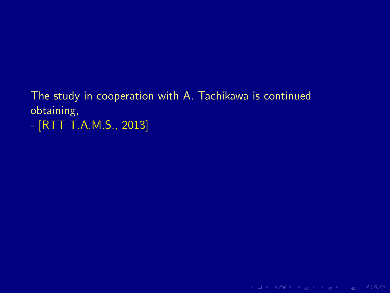## The study in cooperation with A. Tachikawa is continued obtaining,

- [RTT T.A.M.S., 2013]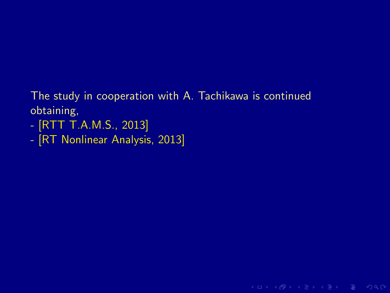## The study in cooperation with A. Tachikawa is continued obtaining,

K ロ > K @ > K 로 > K 로 > E = Y Q Q O

- [RTT T.A.M.S., 2013]
- [RT Nonlinear Analysis, 2013]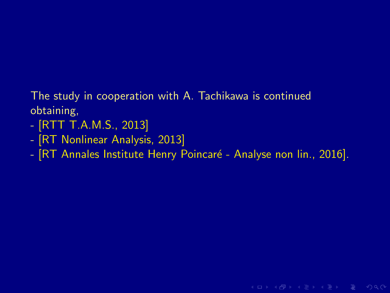## The study in cooperation with A. Tachikawa is continued obtaining,

- [RTT T.A.M.S., 2013]
- [RT Nonlinear Analysis, 2013]
- [RT Annales Institute Henry Poincaré Analyse non lin., 2016].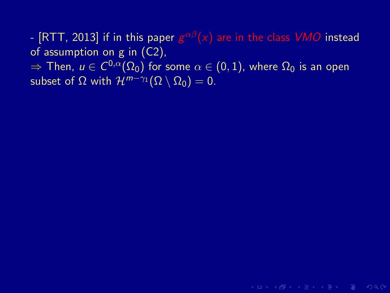- [RTT, 2013] if in this paper  $\bm{g}^{\alpha\beta}(\pmb{x})$  are in the class  $\bm{VMO}$  instead of assumption on g in (C2),

 $\Rightarrow$  Then,  $u\in C^{0,\alpha}(\Omega_0)$  for some  $\alpha\in(0,1)$ , where  $\Omega_0$  is an open subset of  $\Omega$  with  $\mathcal{H}^{m-\gamma_1}(\Omega \setminus \Omega_0) = 0$ .

**KO KARA KE KE KE KARA**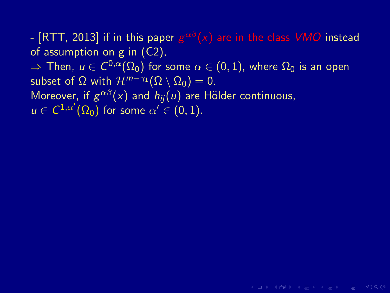- [RTT, 2013] if in this paper  $\bm{g}^{\alpha\beta}(\pmb{x})$  are in the class  $\bm{VMO}$  instead of assumption on g in (C2),  $\Rightarrow$  Then,  $u\in C^{0,\alpha}(\Omega_0)$  for some  $\alpha\in(0,1)$ , where  $\Omega_0$  is an open subset of  $\Omega$  with  $\mathcal{H}^{m-\gamma_1}(\Omega \setminus \overline{\Omega_0}) = 0$ . Moreover, if  $g^{\alpha\beta}(x)$  and  $h_{ij}(u)$  are Hölder continuous,  $u \in C^{1,\alpha'}(\Omega_0)$  for some  $\alpha' \in (0,1)$ .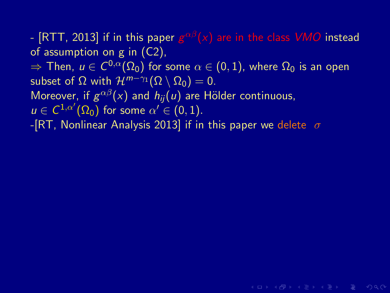### - [RTT, 2013] if in this paper  $\bm{g}^{\alpha\beta}(\pmb{x})$  are in the class  $\bm{VMO}$  instead of assumption on g in (C2),  $\Rightarrow$  Then,  $u\in C^{0,\alpha}(\Omega_0)$  for some  $\alpha\in(0,1)$ , where  $\Omega_0$  is an open subset of  $\Omega$  with  $\mathcal{H}^{m-\gamma_1}(\Omega \setminus \overline{\Omega_0}) = 0$ . Moreover, if  $g^{\alpha\beta}(x)$  and  $h_{ij}(u)$  are Hölder continuous,  $u \in C^{1,\alpha'}(\Omega_0)$  for some  $\alpha' \in (0,1)$ . -[RT, Nonlinear Analysis 2013] if in this paper we delete  $\sigma$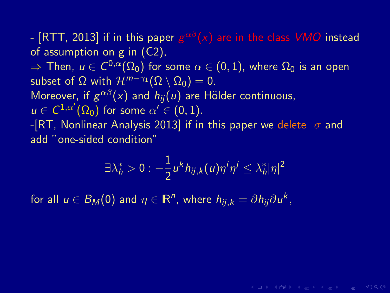- [RTT, 2013] if in this paper  $\bm{g}^{\alpha\beta}(\pmb{x})$  are in the class  $\bm{VMO}$  instead of assumption on g in (C2),  $\Rightarrow$  Then,  $u\in C^{0,\alpha}(\Omega_0)$  for some  $\alpha\in(0,1)$ , where  $\Omega_0$  is an open subset of  $\Omega$  with  $\mathcal{H}^{m-\gamma_1}(\Omega \setminus \Omega_0) = 0$ . Moreover, if  $g^{\alpha\beta}(x)$  and  $h_{ij}(u)$  are Hölder continuous,  $u \in C^{1,\alpha'}(\Omega_0)$  for some  $\alpha' \in (0,1)$ . -[RT, Nonlinear Analysis 2013] if in this paper we delete  $\sigma$  and add "one-sided condition"

$$
\exists \lambda_h^* > 0 : -\frac{1}{2} u^k h_{ij,k}(u) \eta^i \eta^j \leq \lambda_h^* |\eta|^2
$$

**KORKAR KERKER E VAN** 

for all  $u \in B_M(0)$  and  $\eta \in \mathbb{R}^n$ , where  $h_{ij,k} = \partial h_{ij} \partial u^k$ ,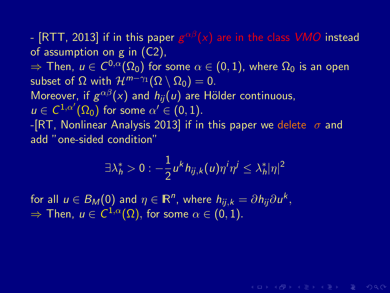- [RTT, 2013] if in this paper  $\bm{g}^{\alpha\beta}(\pmb{x})$  are in the class  $\bm{VMO}$  instead of assumption on g in (C2),  $\Rightarrow$  Then,  $u\in C^{0,\alpha}(\Omega_0)$  for some  $\alpha\in(0,1)$ , where  $\Omega_0$  is an open subset of  $\Omega$  with  $\mathcal{H}^{m-\gamma_1}(\Omega \setminus \Omega_0) = 0$ . Moreover, if  $g^{\alpha\beta}(x)$  and  $h_{ij}(u)$  are Hölder continuous,  $u \in C^{1,\alpha'}(\Omega_0)$  for some  $\alpha' \in (0,1)$ . -[RT, Nonlinear Analysis 2013] if in this paper we delete  $\sigma$  and add "one-sided condition"

$$
\exists \lambda_h^* > 0 : -\frac{1}{2} u^k h_{ij,k}(u) \eta^i \eta^j \leq \lambda_h^* |\eta|^2
$$

**KORKAR KERKER E VAN** 

for all  $u \in B_M(0)$  and  $\eta \in \mathbb{R}^n$ , where  $h_{ij,k} = \partial h_{ij} \partial u^k$ ,  $\Rightarrow$  Then,  $u\in \mathcal{C}^{1,\alpha}(\Omega),$  for some  $\alpha\in (0,1).$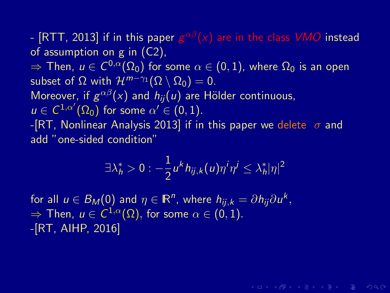- [RTT, 2013] if in this paper  $\bm{g}^{\alpha\beta}(\pmb{x})$  are in the class  $\bm{VMO}$  instead of assumption on g in (C2),  $\Rightarrow$  Then,  $u\in C^{0,\alpha}(\Omega_0)$  for some  $\alpha\in(0,1)$ , where  $\Omega_0$  is an open subset of  $\Omega$  with  $\mathcal{H}^{m-\gamma_1}(\Omega \setminus \Omega_0) = 0$ . Moreover, if  $g^{\alpha\beta}(x)$  and  $h_{ij}(u)$  are Hölder continuous,  $u \in C^{1,\alpha'}(\Omega_0)$  for some  $\alpha' \in (0,1)$ . -[RT, Nonlinear Analysis 2013] if in this paper we delete  $\sigma$  and add "one-sided condition"

$$
\exists \lambda_h^* > 0 : -\frac{1}{2} u^k h_{ij,k}(u) \eta^i \eta^j \leq \lambda_h^* |\eta|^2
$$

**KORKAR KERKER E VAN** 

for all  $u \in B_M(0)$  and  $\eta \in \mathbb{R}^n$ , where  $h_{ij,k} = \partial h_{ij} \partial u^k$ ,  $\Rightarrow$  Then,  $u\in \mathcal{C}^{1,\alpha}(\Omega),$  for some  $\alpha\in (0,1).$ -[RT, AIHP, 2016]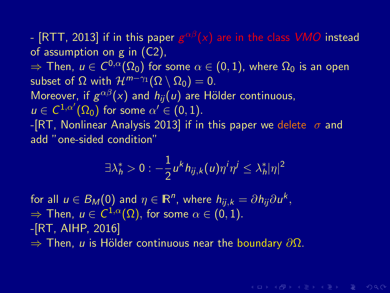- [RTT, 2013] if in this paper  $\bm{g}^{\alpha\beta}(\pmb{x})$  are in the class  $\bm{VMO}$  instead of assumption on g in (C2),  $\Rightarrow$  Then,  $u\in C^{0,\alpha}(\Omega_0)$  for some  $\alpha\in(0,1)$ , where  $\Omega_0$  is an open subset of  $\Omega$  with  $\mathcal{H}^{m-\gamma_1}(\Omega \setminus \overline{\Omega_0}) = 0$ . Moreover, if  $g^{\alpha\beta}(x)$  and  $h_{ij}(u)$  are Hölder continuous,  $u \in C^{1,\alpha'}(\Omega_0)$  for some  $\alpha' \in (0,1)$ . -[RT, Nonlinear Analysis 2013] if in this paper we delete  $\sigma$  and add "one-sided condition"

$$
\exists \lambda_h^* > 0 : -\frac{1}{2} u^k h_{ij,k}(u) \eta^i \eta^j \leq \lambda_h^* |\eta|^2
$$

**KORKAR KERKER E MAG** 

for all  $u \in B_M(0)$  and  $\eta \in \mathbb{R}^n$ , where  $h_{ij,k} = \partial h_{ij} \partial u^k$ ,  $\Rightarrow$  Then,  $u\in \mathcal{C}^{1,\alpha}(\Omega),$  for some  $\alpha\in (0,1).$ -[RT, AIHP, 2016]  $\Rightarrow$  Then, *u* is Hölder continuous near the boundary ∂Ω.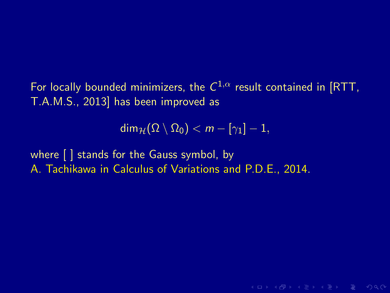For locally bounded minimizers, the  $C^{1,\alpha}$  result contained in [RTT, T.A.M.S., 2013] has been improved as

 $\dim_{\mathcal{H}}(\overline{\Omega} \setminus \overline{\Omega}_0) < m - [\gamma_1] - 1,$ 

**KORKAR KERKER E MAG** 

where [ ] stands for the Gauss symbol, by A. Tachikawa in Calculus of Variations and P.D.E., 2014.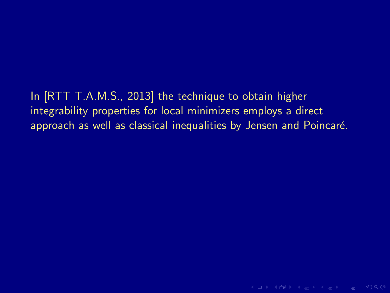# In [RTT T.A.M.S., 2013] the technique to obtain higher integrability properties for local minimizers employs a direct

approach as well as classical inequalities by Jensen and Poincaré.

**KID X 伊 X X ミ X X ミ X ミ X D X Q Q V**